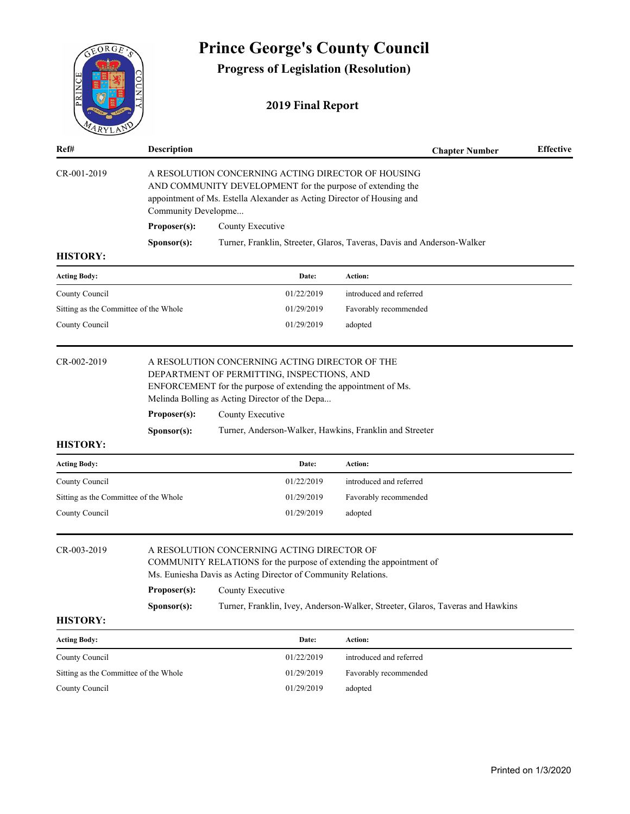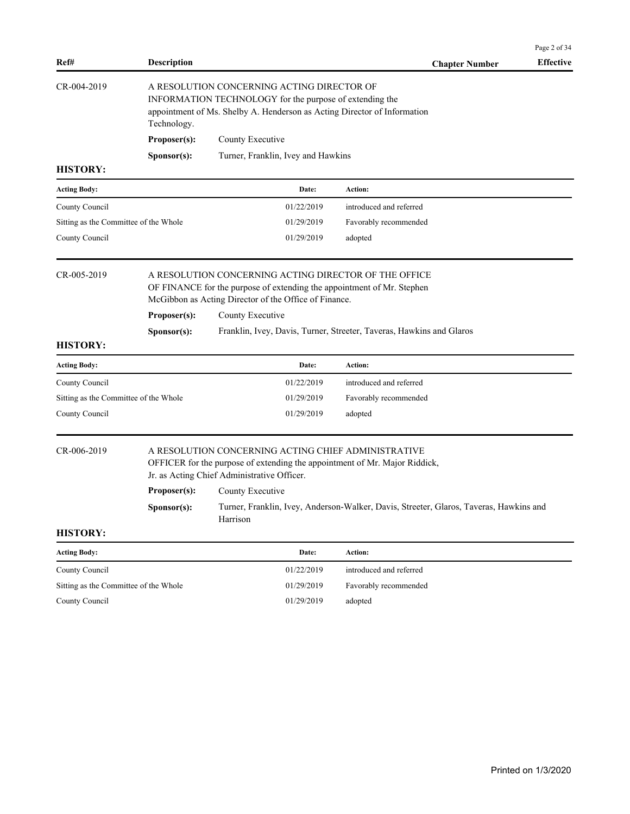|                                       |                                                                                                                                                                                                  |                                                                                                                                                                                          |                                                                                        | Page 2 of 34     |  |  |  |
|---------------------------------------|--------------------------------------------------------------------------------------------------------------------------------------------------------------------------------------------------|------------------------------------------------------------------------------------------------------------------------------------------------------------------------------------------|----------------------------------------------------------------------------------------|------------------|--|--|--|
| Ref#                                  | <b>Description</b>                                                                                                                                                                               |                                                                                                                                                                                          | <b>Chapter Number</b>                                                                  | <b>Effective</b> |  |  |  |
| CR-004-2019                           | A RESOLUTION CONCERNING ACTING DIRECTOR OF<br>INFORMATION TECHNOLOGY for the purpose of extending the<br>appointment of Ms. Shelby A. Henderson as Acting Director of Information<br>Technology. |                                                                                                                                                                                          |                                                                                        |                  |  |  |  |
|                                       | Proposer(s):                                                                                                                                                                                     | County Executive                                                                                                                                                                         |                                                                                        |                  |  |  |  |
|                                       | Sponsor(s):                                                                                                                                                                                      | Turner, Franklin, Ivey and Hawkins                                                                                                                                                       |                                                                                        |                  |  |  |  |
| <b>HISTORY:</b>                       |                                                                                                                                                                                                  |                                                                                                                                                                                          |                                                                                        |                  |  |  |  |
| <b>Acting Body:</b>                   |                                                                                                                                                                                                  | Date:                                                                                                                                                                                    | Action:                                                                                |                  |  |  |  |
| County Council                        |                                                                                                                                                                                                  | 01/22/2019                                                                                                                                                                               | introduced and referred                                                                |                  |  |  |  |
| Sitting as the Committee of the Whole |                                                                                                                                                                                                  | 01/29/2019                                                                                                                                                                               | Favorably recommended                                                                  |                  |  |  |  |
| County Council                        |                                                                                                                                                                                                  | 01/29/2019                                                                                                                                                                               | adopted                                                                                |                  |  |  |  |
| CR-005-2019                           |                                                                                                                                                                                                  | A RESOLUTION CONCERNING ACTING DIRECTOR OF THE OFFICE<br>OF FINANCE for the purpose of extending the appointment of Mr. Stephen<br>McGibbon as Acting Director of the Office of Finance. |                                                                                        |                  |  |  |  |
|                                       | Proposer(s):                                                                                                                                                                                     | County Executive                                                                                                                                                                         |                                                                                        |                  |  |  |  |
|                                       | Sponsor(s):                                                                                                                                                                                      |                                                                                                                                                                                          | Franklin, Ivey, Davis, Turner, Streeter, Taveras, Hawkins and Glaros                   |                  |  |  |  |
| <b>HISTORY:</b>                       |                                                                                                                                                                                                  |                                                                                                                                                                                          |                                                                                        |                  |  |  |  |
| <b>Acting Body:</b>                   |                                                                                                                                                                                                  | Date:                                                                                                                                                                                    | Action:                                                                                |                  |  |  |  |
| County Council                        |                                                                                                                                                                                                  | 01/22/2019                                                                                                                                                                               | introduced and referred                                                                |                  |  |  |  |
| Sitting as the Committee of the Whole |                                                                                                                                                                                                  | 01/29/2019                                                                                                                                                                               | Favorably recommended                                                                  |                  |  |  |  |
| County Council                        |                                                                                                                                                                                                  | 01/29/2019                                                                                                                                                                               | adopted                                                                                |                  |  |  |  |
| CR-006-2019                           |                                                                                                                                                                                                  | A RESOLUTION CONCERNING ACTING CHIEF ADMINISTRATIVE<br>OFFICER for the purpose of extending the appointment of Mr. Major Riddick,<br>Jr. as Acting Chief Administrative Officer.         |                                                                                        |                  |  |  |  |
|                                       | Proposer(s):                                                                                                                                                                                     | County Executive                                                                                                                                                                         |                                                                                        |                  |  |  |  |
|                                       | Sponsor(s):                                                                                                                                                                                      | Harrison                                                                                                                                                                                 | Turner, Franklin, Ivey, Anderson-Walker, Davis, Streeter, Glaros, Taveras, Hawkins and |                  |  |  |  |
| <b>HISTORY:</b>                       |                                                                                                                                                                                                  |                                                                                                                                                                                          |                                                                                        |                  |  |  |  |
| <b>Acting Body:</b>                   |                                                                                                                                                                                                  | Date:                                                                                                                                                                                    | Action:                                                                                |                  |  |  |  |
| County Council                        |                                                                                                                                                                                                  | 01/22/2019                                                                                                                                                                               | introduced and referred                                                                |                  |  |  |  |
| Sitting as the Committee of the Whole |                                                                                                                                                                                                  | 01/29/2019                                                                                                                                                                               | Favorably recommended                                                                  |                  |  |  |  |
| County Council                        |                                                                                                                                                                                                  | 01/29/2019                                                                                                                                                                               | adopted                                                                                |                  |  |  |  |
|                                       |                                                                                                                                                                                                  |                                                                                                                                                                                          |                                                                                        |                  |  |  |  |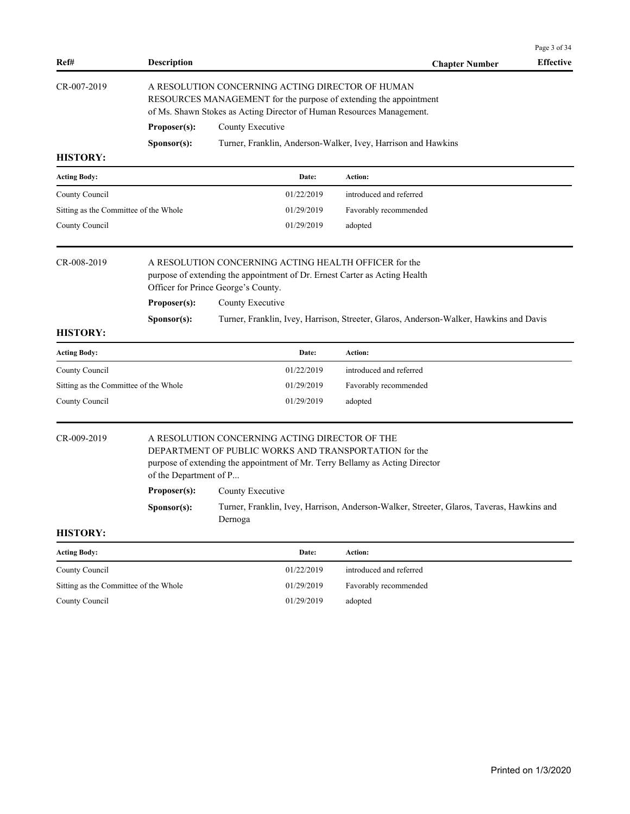|                                       |                                                                                                                                                                                                |                                                                                                                                                                                         |                                                                                           | Page 3 of 34     |  |  |  |  |
|---------------------------------------|------------------------------------------------------------------------------------------------------------------------------------------------------------------------------------------------|-----------------------------------------------------------------------------------------------------------------------------------------------------------------------------------------|-------------------------------------------------------------------------------------------|------------------|--|--|--|--|
| Ref#                                  | <b>Description</b>                                                                                                                                                                             |                                                                                                                                                                                         | <b>Chapter Number</b>                                                                     | <b>Effective</b> |  |  |  |  |
| CR-007-2019                           | A RESOLUTION CONCERNING ACTING DIRECTOR OF HUMAN<br>RESOURCES MANAGEMENT for the purpose of extending the appointment<br>of Ms. Shawn Stokes as Acting Director of Human Resources Management. |                                                                                                                                                                                         |                                                                                           |                  |  |  |  |  |
|                                       | Proposer(s):<br>County Executive                                                                                                                                                               |                                                                                                                                                                                         |                                                                                           |                  |  |  |  |  |
|                                       | Sponsor(s):                                                                                                                                                                                    |                                                                                                                                                                                         | Turner, Franklin, Anderson-Walker, Ivey, Harrison and Hawkins                             |                  |  |  |  |  |
| <b>HISTORY:</b>                       |                                                                                                                                                                                                |                                                                                                                                                                                         |                                                                                           |                  |  |  |  |  |
| <b>Acting Body:</b>                   |                                                                                                                                                                                                | Date:                                                                                                                                                                                   | Action:                                                                                   |                  |  |  |  |  |
| County Council                        |                                                                                                                                                                                                | 01/22/2019                                                                                                                                                                              | introduced and referred                                                                   |                  |  |  |  |  |
| Sitting as the Committee of the Whole |                                                                                                                                                                                                | 01/29/2019                                                                                                                                                                              | Favorably recommended                                                                     |                  |  |  |  |  |
| County Council                        |                                                                                                                                                                                                | 01/29/2019                                                                                                                                                                              | adopted                                                                                   |                  |  |  |  |  |
| CR-008-2019                           |                                                                                                                                                                                                | A RESOLUTION CONCERNING ACTING HEALTH OFFICER for the<br>purpose of extending the appointment of Dr. Ernest Carter as Acting Health<br>Officer for Prince George's County.              |                                                                                           |                  |  |  |  |  |
|                                       | Proposer(s):                                                                                                                                                                                   | County Executive                                                                                                                                                                        |                                                                                           |                  |  |  |  |  |
| <b>HISTORY:</b>                       | Sponsor(s):                                                                                                                                                                                    |                                                                                                                                                                                         | Turner, Franklin, Ivey, Harrison, Streeter, Glaros, Anderson-Walker, Hawkins and Davis    |                  |  |  |  |  |
| <b>Acting Body:</b>                   |                                                                                                                                                                                                | Date:                                                                                                                                                                                   | Action:                                                                                   |                  |  |  |  |  |
| County Council                        |                                                                                                                                                                                                | 01/22/2019                                                                                                                                                                              | introduced and referred                                                                   |                  |  |  |  |  |
| Sitting as the Committee of the Whole |                                                                                                                                                                                                | 01/29/2019                                                                                                                                                                              | Favorably recommended                                                                     |                  |  |  |  |  |
| County Council                        |                                                                                                                                                                                                | 01/29/2019                                                                                                                                                                              | adopted                                                                                   |                  |  |  |  |  |
| CR-009-2019                           | of the Department of P                                                                                                                                                                         | A RESOLUTION CONCERNING ACTING DIRECTOR OF THE<br>DEPARTMENT OF PUBLIC WORKS AND TRANSPORTATION for the<br>purpose of extending the appointment of Mr. Terry Bellamy as Acting Director |                                                                                           |                  |  |  |  |  |
|                                       | Proposer(s):                                                                                                                                                                                   | County Executive                                                                                                                                                                        |                                                                                           |                  |  |  |  |  |
|                                       | Sponsor(s):                                                                                                                                                                                    | Dernoga                                                                                                                                                                                 | Turner, Franklin, Ivey, Harrison, Anderson-Walker, Streeter, Glaros, Taveras, Hawkins and |                  |  |  |  |  |
| <b>HISTORY:</b>                       |                                                                                                                                                                                                |                                                                                                                                                                                         |                                                                                           |                  |  |  |  |  |
| <b>Acting Body:</b>                   |                                                                                                                                                                                                | Date:                                                                                                                                                                                   | Action:                                                                                   |                  |  |  |  |  |
| County Council                        |                                                                                                                                                                                                | 01/22/2019                                                                                                                                                                              | introduced and referred                                                                   |                  |  |  |  |  |
| Sitting as the Committee of the Whole |                                                                                                                                                                                                | 01/29/2019                                                                                                                                                                              | Favorably recommended                                                                     |                  |  |  |  |  |
| County Council                        |                                                                                                                                                                                                | 01/29/2019                                                                                                                                                                              | adopted                                                                                   |                  |  |  |  |  |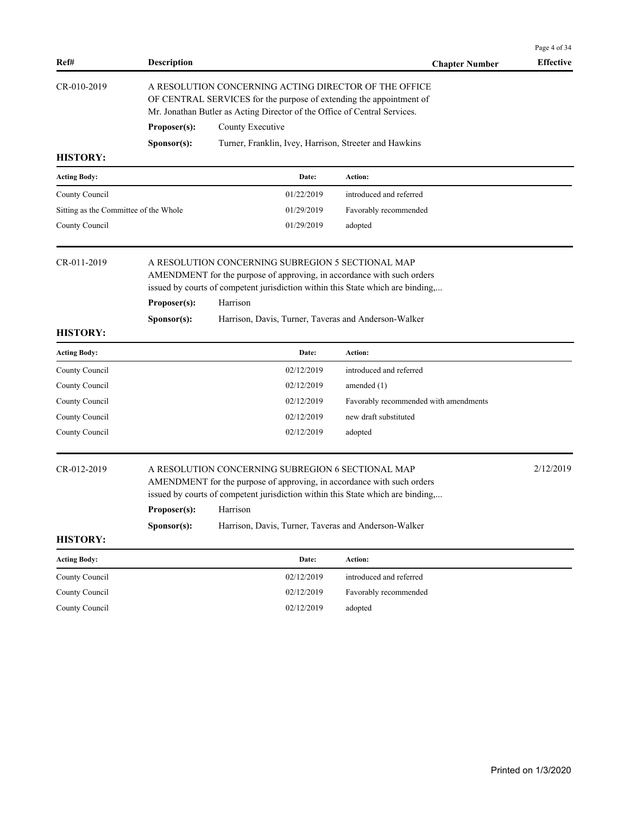| Ref#                                  | <b>Description</b>                                                                                                                                                                                        |                                                                                                                                                                                                                            | <b>Chapter Number</b>                 | <b>Effective</b> |  |  |
|---------------------------------------|-----------------------------------------------------------------------------------------------------------------------------------------------------------------------------------------------------------|----------------------------------------------------------------------------------------------------------------------------------------------------------------------------------------------------------------------------|---------------------------------------|------------------|--|--|
| CR-010-2019                           | A RESOLUTION CONCERNING ACTING DIRECTOR OF THE OFFICE<br>OF CENTRAL SERVICES for the purpose of extending the appointment of<br>Mr. Jonathan Butler as Acting Director of the Office of Central Services. |                                                                                                                                                                                                                            |                                       |                  |  |  |
|                                       | Proposer(s):                                                                                                                                                                                              | County Executive                                                                                                                                                                                                           |                                       |                  |  |  |
|                                       | S <b>p</b> onsor(s):                                                                                                                                                                                      | Turner, Franklin, Ivey, Harrison, Streeter and Hawkins                                                                                                                                                                     |                                       |                  |  |  |
| <b>HISTORY:</b>                       |                                                                                                                                                                                                           |                                                                                                                                                                                                                            |                                       |                  |  |  |
| <b>Acting Body:</b>                   |                                                                                                                                                                                                           | Date:                                                                                                                                                                                                                      | Action:                               |                  |  |  |
| County Council                        |                                                                                                                                                                                                           | 01/22/2019                                                                                                                                                                                                                 | introduced and referred               |                  |  |  |
| Sitting as the Committee of the Whole |                                                                                                                                                                                                           | 01/29/2019                                                                                                                                                                                                                 | Favorably recommended                 |                  |  |  |
| County Council                        |                                                                                                                                                                                                           | 01/29/2019                                                                                                                                                                                                                 | adopted                               |                  |  |  |
| CR-011-2019                           |                                                                                                                                                                                                           | A RESOLUTION CONCERNING SUBREGION 5 SECTIONAL MAP<br>AMENDMENT for the purpose of approving, in accordance with such orders<br>issued by courts of competent jurisdiction within this State which are binding,             |                                       |                  |  |  |
|                                       | Proposer(s):<br>Harrison                                                                                                                                                                                  |                                                                                                                                                                                                                            |                                       |                  |  |  |
|                                       | Sponsor(s):                                                                                                                                                                                               |                                                                                                                                                                                                                            |                                       |                  |  |  |
| <b>HISTORY:</b>                       |                                                                                                                                                                                                           |                                                                                                                                                                                                                            |                                       |                  |  |  |
| <b>Acting Body:</b>                   |                                                                                                                                                                                                           | Date:                                                                                                                                                                                                                      | Action:                               |                  |  |  |
| County Council                        |                                                                                                                                                                                                           | 02/12/2019                                                                                                                                                                                                                 | introduced and referred               |                  |  |  |
| County Council                        |                                                                                                                                                                                                           | 02/12/2019                                                                                                                                                                                                                 | amended $(1)$                         |                  |  |  |
| County Council                        |                                                                                                                                                                                                           | 02/12/2019                                                                                                                                                                                                                 | Favorably recommended with amendments |                  |  |  |
| County Council                        |                                                                                                                                                                                                           | 02/12/2019                                                                                                                                                                                                                 | new draft substituted                 |                  |  |  |
| County Council                        |                                                                                                                                                                                                           | 02/12/2019                                                                                                                                                                                                                 | adopted                               |                  |  |  |
| CR-012-2019                           | Proposer(s):                                                                                                                                                                                              | A RESOLUTION CONCERNING SUBREGION 6 SECTIONAL MAP<br>AMENDMENT for the purpose of approving, in accordance with such orders<br>issued by courts of competent jurisdiction within this State which are binding,<br>Harrison |                                       | 2/12/2019        |  |  |
|                                       | Sponsor(s):                                                                                                                                                                                               | Harrison, Davis, Turner, Taveras and Anderson-Walker                                                                                                                                                                       |                                       |                  |  |  |
| <b>HISTORY:</b>                       |                                                                                                                                                                                                           |                                                                                                                                                                                                                            |                                       |                  |  |  |
| <b>Acting Body:</b>                   |                                                                                                                                                                                                           | Date:                                                                                                                                                                                                                      | Action:                               |                  |  |  |
| County Council                        |                                                                                                                                                                                                           | 02/12/2019                                                                                                                                                                                                                 | introduced and referred               |                  |  |  |
| County Council                        |                                                                                                                                                                                                           | 02/12/2019                                                                                                                                                                                                                 | Favorably recommended                 |                  |  |  |
| County Council                        |                                                                                                                                                                                                           | 02/12/2019                                                                                                                                                                                                                 | adopted                               |                  |  |  |
|                                       |                                                                                                                                                                                                           |                                                                                                                                                                                                                            |                                       |                  |  |  |
|                                       |                                                                                                                                                                                                           |                                                                                                                                                                                                                            |                                       |                  |  |  |

Page 4 of 34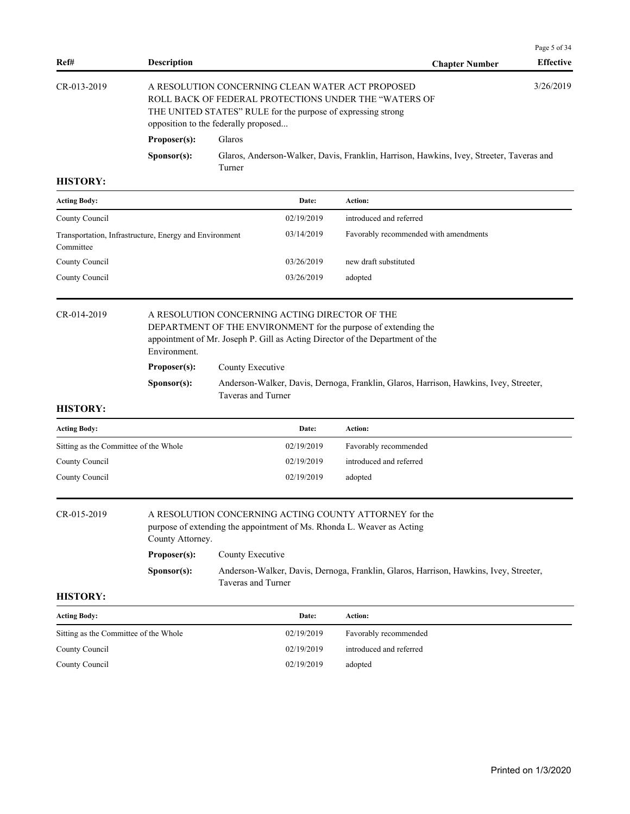|               |                      |                                                                                                                                                                                                                   | Page 5 of 34     |
|---------------|----------------------|-------------------------------------------------------------------------------------------------------------------------------------------------------------------------------------------------------------------|------------------|
| Ref#          | <b>Description</b>   | <b>Chapter Number</b>                                                                                                                                                                                             | <b>Effective</b> |
| $CR-013-2019$ |                      | A RESOLUTION CONCERNING CLEAN WATER ACT PROPOSED<br>ROLL BACK OF FEDERAL PROTECTIONS UNDER THE "WATERS OF<br>THE UNITED STATES" RULE for the purpose of expressing strong<br>opposition to the federally proposed | 3/26/2019        |
|               | Proposer(s):         | Glaros                                                                                                                                                                                                            |                  |
|               | S <b>p</b> onsor(s): | Glaros, Anderson-Walker, Davis, Franklin, Harrison, Hawkins, Ivey, Streeter, Taveras and                                                                                                                          |                  |

| <b>Acting Body:</b>                                                 | Date:      | Action:                               |
|---------------------------------------------------------------------|------------|---------------------------------------|
| County Council                                                      | 02/19/2019 | introduced and referred               |
| Transportation, Infrastructure, Energy and Environment<br>Committee | 03/14/2019 | Favorably recommended with amendments |
| County Council                                                      | 03/26/2019 | new draft substituted                 |
| County Council                                                      | 03/26/2019 | adopted                               |

#### CR-014-2019 A RESOLUTION CONCERNING ACTING DIRECTOR OF THE DEPARTMENT OF THE ENVIRONMENT for the purpose of extending the

appointment of Mr. Joseph P. Gill as Acting Director of the Department of the Environment. Proposer(s): County Executive **Sponsor(s):** Anderson-Walker, Davis, Dernoga, Franklin, Glaros, Harrison, Hawkins, Ivey, Streeter, Taveras and Turner

## **HISTORY:**

| <b>Acting Body:</b>                   | Date:      | Action:                 |
|---------------------------------------|------------|-------------------------|
| Sitting as the Committee of the Whole | 02/19/2019 | Favorably recommended   |
| County Council                        | 02/19/2019 | introduced and referred |
| County Council                        | 02/19/2019 | adopted                 |
|                                       |            |                         |

## CR-015-2019 A RESOLUTION CONCERNING ACTING COUNTY ATTORNEY for the

purpose of extending the appointment of Ms. Rhonda L. Weaver as Acting County Attorney.

| Proposer(s): | County Executive                                                                      |
|--------------|---------------------------------------------------------------------------------------|
| Sponsor(s):  | Anderson-Walker, Davis, Dernoga, Franklin, Glaros, Harrison, Hawkins, Ivey, Streeter, |
|              | Taveras and Turner                                                                    |

| <b>Acting Body:</b>                   | Date:      | <b>Action:</b>          |
|---------------------------------------|------------|-------------------------|
| Sitting as the Committee of the Whole | 02/19/2019 | Favorably recommended   |
| County Council                        | 02/19/2019 | introduced and referred |
| County Council                        | 02/19/2019 | adopted                 |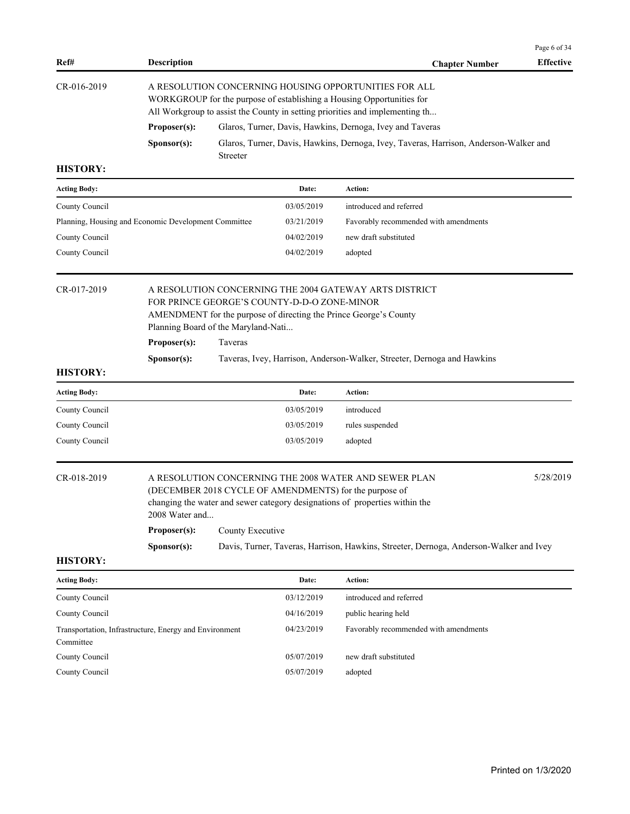| Ref#                                                                | <b>Description</b>                                                                                                                                                                                             |                  |                                             | <b>Chapter Number</b>                                                                                                                                                                                                                                                                    | Page 6 of 34<br><b>Effective</b> |  |
|---------------------------------------------------------------------|----------------------------------------------------------------------------------------------------------------------------------------------------------------------------------------------------------------|------------------|---------------------------------------------|------------------------------------------------------------------------------------------------------------------------------------------------------------------------------------------------------------------------------------------------------------------------------------------|----------------------------------|--|
| CR-016-2019                                                         | A RESOLUTION CONCERNING HOUSING OPPORTUNITIES FOR ALL<br>WORKGROUP for the purpose of establishing a Housing Opportunities for<br>All Workgroup to assist the County in setting priorities and implementing th |                  |                                             |                                                                                                                                                                                                                                                                                          |                                  |  |
|                                                                     | Proposer(s):                                                                                                                                                                                                   |                  |                                             | Glaros, Turner, Davis, Hawkins, Dernoga, Ivey and Taveras                                                                                                                                                                                                                                |                                  |  |
|                                                                     | Sponsor(s):                                                                                                                                                                                                    | Streeter         |                                             | Glaros, Turner, Davis, Hawkins, Dernoga, Ivey, Taveras, Harrison, Anderson-Walker and                                                                                                                                                                                                    |                                  |  |
| <b>HISTORY:</b>                                                     |                                                                                                                                                                                                                |                  |                                             |                                                                                                                                                                                                                                                                                          |                                  |  |
| <b>Acting Body:</b>                                                 |                                                                                                                                                                                                                |                  | Date:                                       | Action:                                                                                                                                                                                                                                                                                  |                                  |  |
| County Council                                                      |                                                                                                                                                                                                                |                  | 03/05/2019                                  | introduced and referred                                                                                                                                                                                                                                                                  |                                  |  |
| Planning, Housing and Economic Development Committee                |                                                                                                                                                                                                                |                  | 03/21/2019                                  | Favorably recommended with amendments                                                                                                                                                                                                                                                    |                                  |  |
| County Council                                                      |                                                                                                                                                                                                                |                  | 04/02/2019                                  | new draft substituted                                                                                                                                                                                                                                                                    |                                  |  |
| County Council                                                      |                                                                                                                                                                                                                |                  | 04/02/2019                                  | adopted                                                                                                                                                                                                                                                                                  |                                  |  |
| CR-017-2019                                                         | Planning Board of the Maryland-Nati<br>Proposer(s):                                                                                                                                                            | Taveras          | FOR PRINCE GEORGE'S COUNTY-D-D-O ZONE-MINOR | A RESOLUTION CONCERNING THE 2004 GATEWAY ARTS DISTRICT<br>AMENDMENT for the purpose of directing the Prince George's County                                                                                                                                                              |                                  |  |
|                                                                     | Sponsor(s):                                                                                                                                                                                                    |                  |                                             | Taveras, Ivey, Harrison, Anderson-Walker, Streeter, Dernoga and Hawkins                                                                                                                                                                                                                  |                                  |  |
| <b>HISTORY:</b>                                                     |                                                                                                                                                                                                                |                  |                                             |                                                                                                                                                                                                                                                                                          |                                  |  |
| <b>Acting Body:</b>                                                 |                                                                                                                                                                                                                |                  | Date:                                       | Action:                                                                                                                                                                                                                                                                                  |                                  |  |
| County Council                                                      |                                                                                                                                                                                                                |                  | 03/05/2019                                  | introduced                                                                                                                                                                                                                                                                               |                                  |  |
| County Council                                                      |                                                                                                                                                                                                                |                  | 03/05/2019                                  | rules suspended                                                                                                                                                                                                                                                                          |                                  |  |
| County Council                                                      |                                                                                                                                                                                                                |                  | 03/05/2019                                  | adopted                                                                                                                                                                                                                                                                                  |                                  |  |
| CR-018-2019<br><b>HISTORY:</b>                                      | 2008 Water and<br>Proposer(s):<br>Sponsor(s):                                                                                                                                                                  | County Executive |                                             | A RESOLUTION CONCERNING THE 2008 WATER AND SEWER PLAN<br>(DECEMBER 2018 CYCLE OF AMENDMENTS) for the purpose of<br>changing the water and sewer category designations of properties within the<br>Davis, Turner, Taveras, Harrison, Hawkins, Streeter, Dernoga, Anderson-Walker and Ivey | 5/28/2019                        |  |
|                                                                     |                                                                                                                                                                                                                |                  |                                             |                                                                                                                                                                                                                                                                                          |                                  |  |
| <b>Acting Body:</b>                                                 |                                                                                                                                                                                                                |                  | Date:                                       | Action:                                                                                                                                                                                                                                                                                  |                                  |  |
| County Council                                                      |                                                                                                                                                                                                                |                  | 03/12/2019                                  | introduced and referred                                                                                                                                                                                                                                                                  |                                  |  |
| County Council                                                      |                                                                                                                                                                                                                |                  | 04/16/2019                                  | public hearing held                                                                                                                                                                                                                                                                      |                                  |  |
| Transportation, Infrastructure, Energy and Environment<br>Committee |                                                                                                                                                                                                                |                  | 04/23/2019                                  | Favorably recommended with amendments                                                                                                                                                                                                                                                    |                                  |  |
| County Council                                                      |                                                                                                                                                                                                                |                  | 05/07/2019                                  | new draft substituted                                                                                                                                                                                                                                                                    |                                  |  |
| County Council                                                      |                                                                                                                                                                                                                |                  | 05/07/2019                                  | adopted                                                                                                                                                                                                                                                                                  |                                  |  |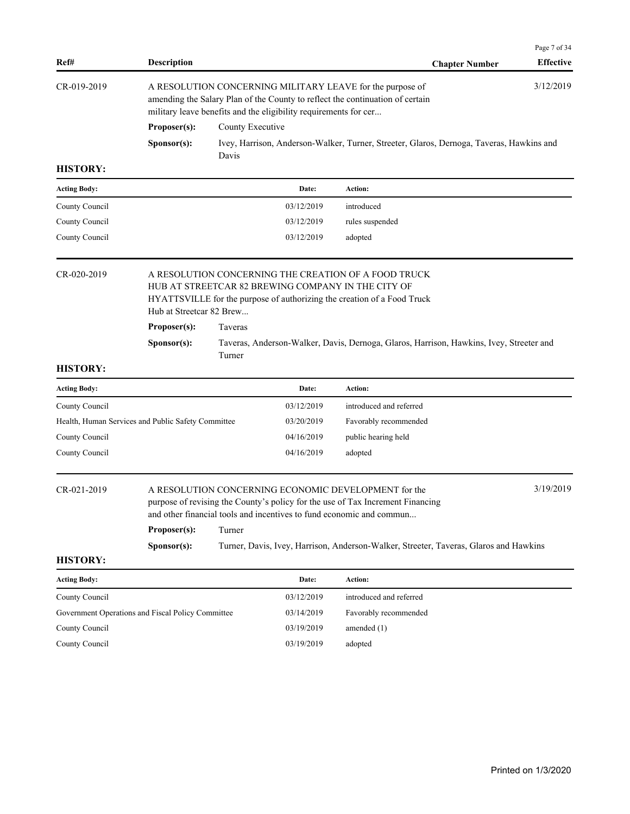| Ref#                                               | <b>Description</b>                                      |                   |                                                                  | <b>Chapter Number</b>                                                                                                                                                                                                                                                                                   | Page 7 of 34<br><b>Effective</b> |
|----------------------------------------------------|---------------------------------------------------------|-------------------|------------------------------------------------------------------|---------------------------------------------------------------------------------------------------------------------------------------------------------------------------------------------------------------------------------------------------------------------------------------------------------|----------------------------------|
| CR-019-2019                                        |                                                         |                   | military leave benefits and the eligibility requirements for cer | A RESOLUTION CONCERNING MILITARY LEAVE for the purpose of<br>amending the Salary Plan of the County to reflect the continuation of certain                                                                                                                                                              | 3/12/2019                        |
|                                                    | Proposer(s):                                            | County Executive  |                                                                  |                                                                                                                                                                                                                                                                                                         |                                  |
|                                                    | S <b>p</b> onsor(s):                                    | Davis             |                                                                  | Ivey, Harrison, Anderson-Walker, Turner, Streeter, Glaros, Dernoga, Taveras, Hawkins and                                                                                                                                                                                                                |                                  |
| <b>HISTORY:</b>                                    |                                                         |                   |                                                                  |                                                                                                                                                                                                                                                                                                         |                                  |
| <b>Acting Body:</b>                                |                                                         |                   | Date:                                                            | Action:                                                                                                                                                                                                                                                                                                 |                                  |
| County Council                                     |                                                         |                   | 03/12/2019                                                       | introduced                                                                                                                                                                                                                                                                                              |                                  |
| County Council                                     |                                                         |                   | 03/12/2019                                                       | rules suspended                                                                                                                                                                                                                                                                                         |                                  |
| County Council                                     |                                                         |                   | 03/12/2019                                                       | adopted                                                                                                                                                                                                                                                                                                 |                                  |
| CR-020-2019                                        | Hub at Streetcar 82 Brew<br>Proposer(s):<br>Sponsor(s): | Taveras<br>Turner |                                                                  | A RESOLUTION CONCERNING THE CREATION OF A FOOD TRUCK<br>HUB AT STREETCAR 82 BREWING COMPANY IN THE CITY OF<br>HYATTSVILLE for the purpose of authorizing the creation of a Food Truck<br>Taveras, Anderson-Walker, Davis, Dernoga, Glaros, Harrison, Hawkins, Ivey, Streeter and                        |                                  |
| <b>HISTORY:</b>                                    |                                                         |                   |                                                                  |                                                                                                                                                                                                                                                                                                         |                                  |
| <b>Acting Body:</b>                                |                                                         |                   | Date:                                                            | Action:                                                                                                                                                                                                                                                                                                 |                                  |
| County Council                                     |                                                         |                   | 03/12/2019                                                       | introduced and referred                                                                                                                                                                                                                                                                                 |                                  |
| Health, Human Services and Public Safety Committee |                                                         |                   | 03/20/2019                                                       | Favorably recommended                                                                                                                                                                                                                                                                                   |                                  |
| County Council                                     |                                                         |                   | 04/16/2019                                                       | public hearing held                                                                                                                                                                                                                                                                                     |                                  |
| County Council                                     |                                                         |                   | 04/16/2019                                                       | adopted                                                                                                                                                                                                                                                                                                 |                                  |
| CR-021-2019                                        | Proposer(s):                                            | Turner            |                                                                  | A RESOLUTION CONCERNING ECONOMIC DEVELOPMENT for the<br>purpose of revising the County's policy for the use of Tax Increment Financing<br>and other financial tools and incentives to fund economic and commun<br>Turner, Davis, Ivey, Harrison, Anderson-Walker, Streeter, Taveras, Glaros and Hawkins | 3/19/2019                        |
| <b>HISTORY:</b>                                    | Sponsor(s):                                             |                   |                                                                  |                                                                                                                                                                                                                                                                                                         |                                  |
| <b>Acting Body:</b>                                |                                                         |                   | Date:                                                            | Action:                                                                                                                                                                                                                                                                                                 |                                  |
| County Council                                     |                                                         |                   | 03/12/2019                                                       | introduced and referred                                                                                                                                                                                                                                                                                 |                                  |
| Government Operations and Fiscal Policy Committee  |                                                         |                   | 03/14/2019                                                       | Favorably recommended                                                                                                                                                                                                                                                                                   |                                  |
| County Council                                     |                                                         |                   | 03/19/2019                                                       | amended $(1)$                                                                                                                                                                                                                                                                                           |                                  |
| County Council                                     |                                                         |                   | 03/19/2019                                                       | adopted                                                                                                                                                                                                                                                                                                 |                                  |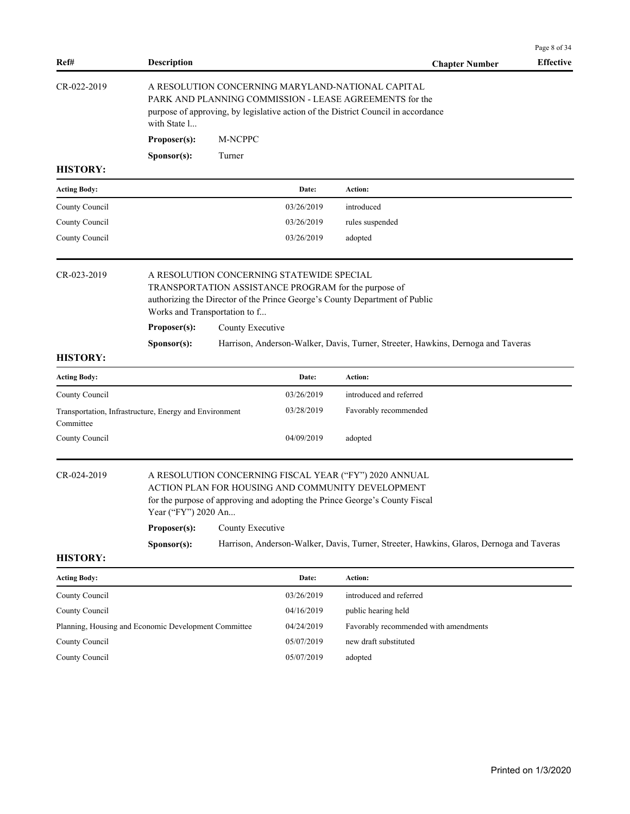| Ref#                | <b>Description</b>                                                                                                                                                                                                                                    |                                                                                                                                                                                                   |            | <b>Chapter Number</b>                                                                                                                                                                      | Page 8 of 34<br><b>Effective</b> |  |  |
|---------------------|-------------------------------------------------------------------------------------------------------------------------------------------------------------------------------------------------------------------------------------------------------|---------------------------------------------------------------------------------------------------------------------------------------------------------------------------------------------------|------------|--------------------------------------------------------------------------------------------------------------------------------------------------------------------------------------------|----------------------------------|--|--|
| CR-022-2019         | with State 1                                                                                                                                                                                                                                          | A RESOLUTION CONCERNING MARYLAND-NATIONAL CAPITAL<br>PARK AND PLANNING COMMISSION - LEASE AGREEMENTS for the<br>purpose of approving, by legislative action of the District Council in accordance |            |                                                                                                                                                                                            |                                  |  |  |
|                     | Proposer(s):                                                                                                                                                                                                                                          | M-NCPPC                                                                                                                                                                                           |            |                                                                                                                                                                                            |                                  |  |  |
|                     | Sponsor(s):                                                                                                                                                                                                                                           | Turner                                                                                                                                                                                            |            |                                                                                                                                                                                            |                                  |  |  |
| <b>HISTORY:</b>     |                                                                                                                                                                                                                                                       |                                                                                                                                                                                                   |            |                                                                                                                                                                                            |                                  |  |  |
| <b>Acting Body:</b> |                                                                                                                                                                                                                                                       |                                                                                                                                                                                                   | Date:      | Action:                                                                                                                                                                                    |                                  |  |  |
| County Council      |                                                                                                                                                                                                                                                       |                                                                                                                                                                                                   | 03/26/2019 | introduced                                                                                                                                                                                 |                                  |  |  |
| County Council      |                                                                                                                                                                                                                                                       |                                                                                                                                                                                                   | 03/26/2019 | rules suspended                                                                                                                                                                            |                                  |  |  |
| County Council      |                                                                                                                                                                                                                                                       |                                                                                                                                                                                                   | 03/26/2019 | adopted                                                                                                                                                                                    |                                  |  |  |
| CR-023-2019         | A RESOLUTION CONCERNING STATEWIDE SPECIAL<br>TRANSPORTATION ASSISTANCE PROGRAM for the purpose of<br>authorizing the Director of the Prince George's County Department of Public<br>Works and Transportation to f<br>Proposer(s):<br>County Executive |                                                                                                                                                                                                   |            |                                                                                                                                                                                            |                                  |  |  |
|                     | Sponsor(s):                                                                                                                                                                                                                                           |                                                                                                                                                                                                   |            | Harrison, Anderson-Walker, Davis, Turner, Streeter, Hawkins, Dernoga and Taveras                                                                                                           |                                  |  |  |
| <b>HISTORY:</b>     |                                                                                                                                                                                                                                                       |                                                                                                                                                                                                   |            |                                                                                                                                                                                            |                                  |  |  |
| <b>Acting Body:</b> |                                                                                                                                                                                                                                                       |                                                                                                                                                                                                   | Date:      | Action:                                                                                                                                                                                    |                                  |  |  |
| County Council      |                                                                                                                                                                                                                                                       |                                                                                                                                                                                                   | 03/26/2019 | introduced and referred                                                                                                                                                                    |                                  |  |  |
| Committee           | Transportation, Infrastructure, Energy and Environment                                                                                                                                                                                                |                                                                                                                                                                                                   | 03/28/2019 | Favorably recommended                                                                                                                                                                      |                                  |  |  |
| County Council      |                                                                                                                                                                                                                                                       |                                                                                                                                                                                                   | 04/09/2019 | adopted                                                                                                                                                                                    |                                  |  |  |
| CR-024-2019         | Year ("FY") 2020 An                                                                                                                                                                                                                                   |                                                                                                                                                                                                   |            | A RESOLUTION CONCERNING FISCAL YEAR ("FY") 2020 ANNUAL<br>ACTION PLAN FOR HOUSING AND COMMUNITY DEVELOPMENT<br>for the purpose of approving and adopting the Prince George's County Fiscal |                                  |  |  |
|                     | Proposer(s):                                                                                                                                                                                                                                          | County Executive                                                                                                                                                                                  |            |                                                                                                                                                                                            |                                  |  |  |
| <b>HISTORY:</b>     | S <b>p</b> onsor(s):                                                                                                                                                                                                                                  |                                                                                                                                                                                                   |            | Harrison, Anderson-Walker, Davis, Turner, Streeter, Hawkins, Glaros, Dernoga and Taveras                                                                                                   |                                  |  |  |
| <b>Acting Body:</b> |                                                                                                                                                                                                                                                       |                                                                                                                                                                                                   | Date:      | Action:                                                                                                                                                                                    |                                  |  |  |
| County Council      |                                                                                                                                                                                                                                                       |                                                                                                                                                                                                   | 03/26/2019 | introduced and referred                                                                                                                                                                    |                                  |  |  |
| County Council      |                                                                                                                                                                                                                                                       |                                                                                                                                                                                                   | 04/16/2019 | public hearing held                                                                                                                                                                        |                                  |  |  |
|                     |                                                                                                                                                                                                                                                       |                                                                                                                                                                                                   |            |                                                                                                                                                                                            |                                  |  |  |
|                     | Planning, Housing and Economic Development Committee                                                                                                                                                                                                  |                                                                                                                                                                                                   | 04/24/2019 | Favorably recommended with amendments                                                                                                                                                      |                                  |  |  |
| County Council      |                                                                                                                                                                                                                                                       |                                                                                                                                                                                                   | 05/07/2019 | new draft substituted                                                                                                                                                                      |                                  |  |  |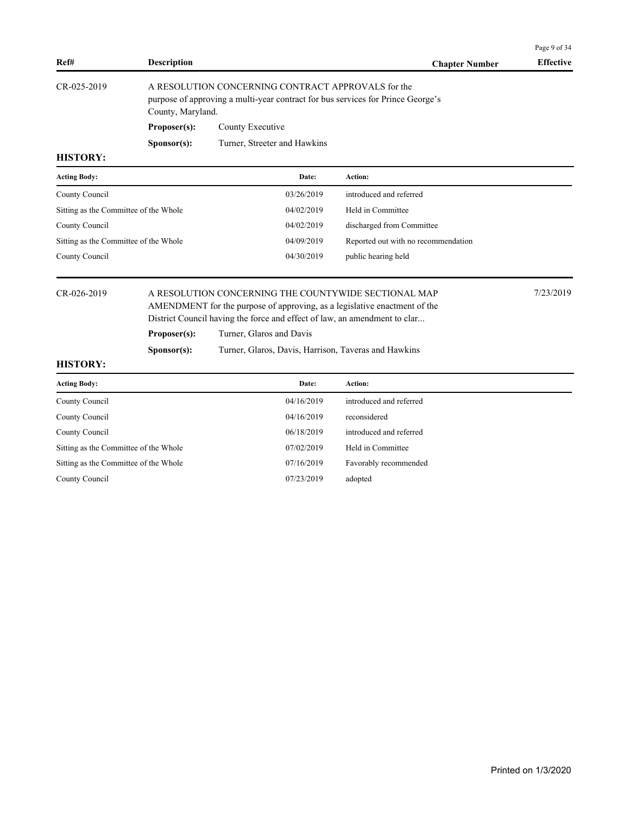|                                       |                    |                                                                                                                                                                                                                |                                     | Page 9 of 34     |  |  |  |  |
|---------------------------------------|--------------------|----------------------------------------------------------------------------------------------------------------------------------------------------------------------------------------------------------------|-------------------------------------|------------------|--|--|--|--|
| Ref#                                  | <b>Description</b> |                                                                                                                                                                                                                | <b>Chapter Number</b>               | <b>Effective</b> |  |  |  |  |
| CR-025-2019                           | County, Maryland.  | A RESOLUTION CONCERNING CONTRACT APPROVALS for the<br>purpose of approving a multi-year contract for bus services for Prince George's                                                                          |                                     |                  |  |  |  |  |
|                                       | Proposer(s):       | County Executive                                                                                                                                                                                               |                                     |                  |  |  |  |  |
|                                       | Sponsor(s):        | Turner, Streeter and Hawkins                                                                                                                                                                                   |                                     |                  |  |  |  |  |
| <b>HISTORY:</b>                       |                    |                                                                                                                                                                                                                |                                     |                  |  |  |  |  |
| <b>Acting Body:</b>                   |                    | Date:                                                                                                                                                                                                          | Action:                             |                  |  |  |  |  |
| County Council                        |                    | 03/26/2019                                                                                                                                                                                                     | introduced and referred             |                  |  |  |  |  |
| Sitting as the Committee of the Whole |                    | 04/02/2019                                                                                                                                                                                                     | Held in Committee                   |                  |  |  |  |  |
| County Council                        |                    | 04/02/2019                                                                                                                                                                                                     | discharged from Committee           |                  |  |  |  |  |
| Sitting as the Committee of the Whole |                    | 04/09/2019                                                                                                                                                                                                     | Reported out with no recommendation |                  |  |  |  |  |
| County Council                        |                    | 04/30/2019                                                                                                                                                                                                     | public hearing held                 |                  |  |  |  |  |
| CR-026-2019                           |                    | A RESOLUTION CONCERNING THE COUNTYWIDE SECTIONAL MAP<br>AMENDMENT for the purpose of approving, as a legislative enactment of the<br>District Council having the force and effect of law, an amendment to clar |                                     |                  |  |  |  |  |
|                                       | Proposer(s):       | Turner, Glaros and Davis                                                                                                                                                                                       |                                     |                  |  |  |  |  |
|                                       | Sponsor(s):        | Turner, Glaros, Davis, Harrison, Taveras and Hawkins                                                                                                                                                           |                                     |                  |  |  |  |  |
| <b>HISTORY:</b>                       |                    |                                                                                                                                                                                                                |                                     |                  |  |  |  |  |
| <b>Acting Body:</b>                   |                    | Date:                                                                                                                                                                                                          | Action:                             |                  |  |  |  |  |
| County Council                        |                    | 04/16/2019                                                                                                                                                                                                     | introduced and referred             |                  |  |  |  |  |
| County Council                        |                    | 04/16/2019                                                                                                                                                                                                     | reconsidered                        |                  |  |  |  |  |
| County Council                        |                    | 06/18/2019                                                                                                                                                                                                     | introduced and referred             |                  |  |  |  |  |
| Sitting as the Committee of the Whole |                    | 07/02/2019                                                                                                                                                                                                     | Held in Committee                   |                  |  |  |  |  |
| Sitting as the Committee of the Whole |                    | 07/16/2019                                                                                                                                                                                                     | Favorably recommended               |                  |  |  |  |  |
| County Council                        |                    | 07/23/2019                                                                                                                                                                                                     | adopted                             |                  |  |  |  |  |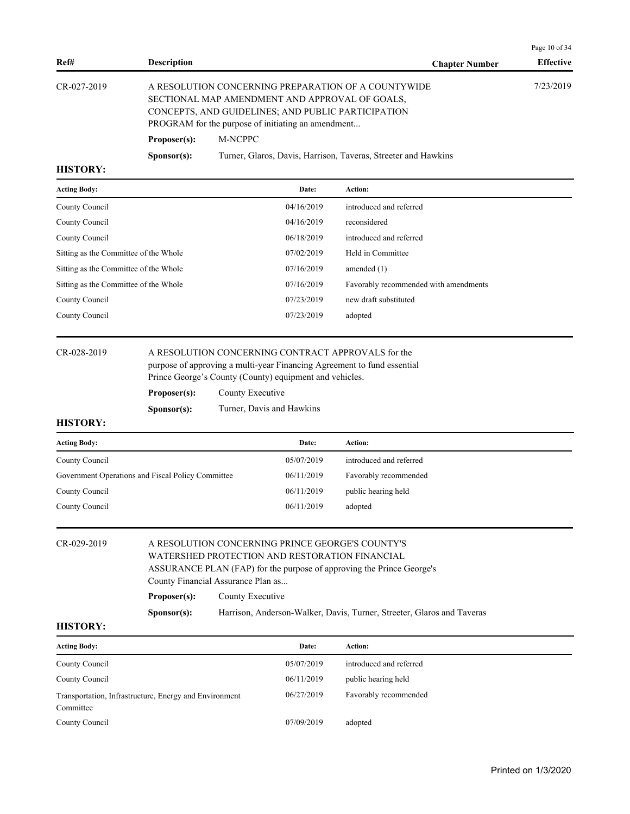| Ref#                                                                                  | <b>Description</b>                                                |                  |                                                                                      | <b>Chapter Number</b>                                                                                                                                                                               | Page 10 of 34<br><b>Effective</b> |
|---------------------------------------------------------------------------------------|-------------------------------------------------------------------|------------------|--------------------------------------------------------------------------------------|-----------------------------------------------------------------------------------------------------------------------------------------------------------------------------------------------------|-----------------------------------|
| CR-027-2019                                                                           | Proposer(s):                                                      | M-NCPPC          | PROGRAM for the purpose of initiating an amendment                                   | A RESOLUTION CONCERNING PREPARATION OF A COUNTYWIDE<br>SECTIONAL MAP AMENDMENT AND APPROVAL OF GOALS.<br>CONCEPTS, AND GUIDELINES; AND PUBLIC PARTICIPATION                                         | 7/23/2019                         |
| <b>HISTORY:</b>                                                                       | Sponsor(s):                                                       |                  |                                                                                      | Turner, Glaros, Davis, Harrison, Taveras, Streeter and Hawkins                                                                                                                                      |                                   |
| <b>Acting Body:</b>                                                                   |                                                                   |                  | Date:                                                                                | Action:                                                                                                                                                                                             |                                   |
| County Council                                                                        |                                                                   |                  | 04/16/2019                                                                           | introduced and referred                                                                                                                                                                             |                                   |
| County Council                                                                        |                                                                   |                  | 04/16/2019                                                                           | reconsidered                                                                                                                                                                                        |                                   |
| County Council                                                                        |                                                                   |                  | 06/18/2019                                                                           | introduced and referred                                                                                                                                                                             |                                   |
| Sitting as the Committee of the Whole                                                 |                                                                   |                  | 07/02/2019                                                                           | Held in Committee                                                                                                                                                                                   |                                   |
| Sitting as the Committee of the Whole                                                 |                                                                   |                  | 07/16/2019                                                                           | amended $(1)$                                                                                                                                                                                       |                                   |
| Sitting as the Committee of the Whole                                                 |                                                                   |                  | 07/16/2019                                                                           | Favorably recommended with amendments                                                                                                                                                               |                                   |
| County Council                                                                        |                                                                   |                  | 07/23/2019                                                                           | new draft substituted                                                                                                                                                                               |                                   |
| County Council                                                                        |                                                                   |                  | 07/23/2019                                                                           | adopted                                                                                                                                                                                             |                                   |
| CR-028-2019<br><b>HISTORY:</b>                                                        | Proposer(s):<br>Sponsor(s):                                       | County Executive | Prince George's County (County) equipment and vehicles.<br>Turner, Davis and Hawkins | A RESOLUTION CONCERNING CONTRACT APPROVALS for the<br>purpose of approving a multi-year Financing Agreement to fund essential                                                                       |                                   |
| <b>Acting Body:</b>                                                                   |                                                                   |                  | Date:                                                                                | Action:                                                                                                                                                                                             |                                   |
| County Council                                                                        |                                                                   |                  | 05/07/2019                                                                           | introduced and referred                                                                                                                                                                             |                                   |
| Government Operations and Fiscal Policy Committee                                     |                                                                   |                  | 06/11/2019                                                                           | Favorably recommended                                                                                                                                                                               |                                   |
| County Council                                                                        |                                                                   |                  | 06/11/2019                                                                           | public hearing held                                                                                                                                                                                 |                                   |
| County Council                                                                        |                                                                   |                  | 06/11/2019                                                                           | adopted                                                                                                                                                                                             |                                   |
| CR-029-2019<br><b>HISTORY:</b>                                                        | County Financial Assurance Plan as<br>Proposer(s):<br>Sponsor(s): | County Executive | WATERSHED PROTECTION AND RESTORATION FINANCIAL                                       | A RESOLUTION CONCERNING PRINCE GEORGE'S COUNTY'S<br>ASSURANCE PLAN (FAP) for the purpose of approving the Prince George's<br>Harrison, Anderson-Walker, Davis, Turner, Streeter, Glaros and Taveras |                                   |
|                                                                                       |                                                                   |                  |                                                                                      |                                                                                                                                                                                                     |                                   |
| <b>Acting Body:</b>                                                                   |                                                                   |                  | Date:                                                                                | Action:                                                                                                                                                                                             |                                   |
| County Council                                                                        |                                                                   |                  | 05/07/2019                                                                           | introduced and referred                                                                                                                                                                             |                                   |
| County Council<br>Transportation, Infrastructure, Energy and Environment<br>Committee |                                                                   |                  | 06/11/2019<br>06/27/2019                                                             | public hearing held<br>Favorably recommended                                                                                                                                                        |                                   |
| County Council                                                                        |                                                                   |                  | 07/09/2019                                                                           | adopted                                                                                                                                                                                             |                                   |
|                                                                                       |                                                                   |                  |                                                                                      |                                                                                                                                                                                                     |                                   |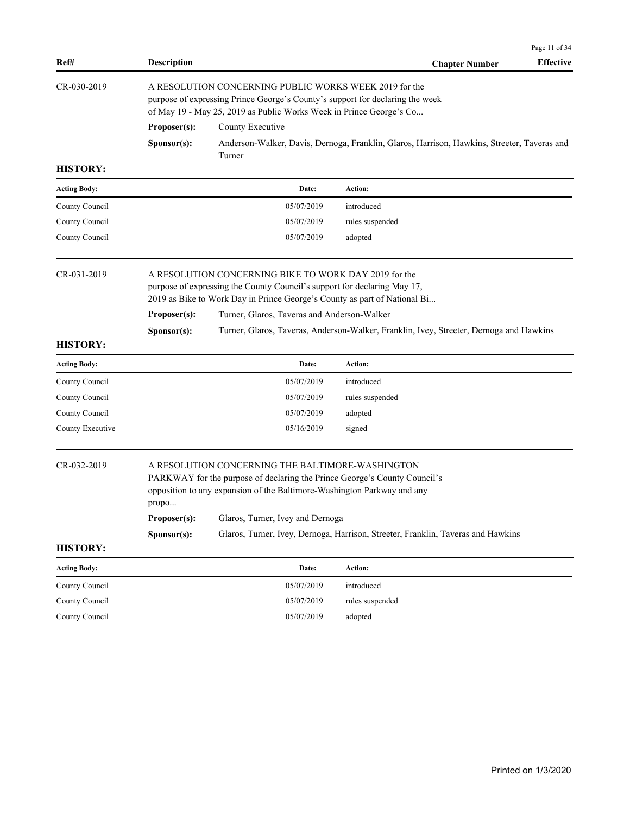| Ref#                | <b>Description</b>    |                                                                                                                                                                                                                                              | <b>Chapter Number</b>                                                                       | Page 11 of 34<br><b>Effective</b> |
|---------------------|-----------------------|----------------------------------------------------------------------------------------------------------------------------------------------------------------------------------------------------------------------------------------------|---------------------------------------------------------------------------------------------|-----------------------------------|
| CR-030-2019         |                       | A RESOLUTION CONCERNING PUBLIC WORKS WEEK 2019 for the<br>purpose of expressing Prince George's County's support for declaring the week<br>of May 19 - May 25, 2019 as Public Works Week in Prince George's Co                               |                                                                                             |                                   |
|                     | Proposer(s):          | County Executive                                                                                                                                                                                                                             |                                                                                             |                                   |
|                     | Sponsor(s):           | Turner                                                                                                                                                                                                                                       | Anderson-Walker, Davis, Dernoga, Franklin, Glaros, Harrison, Hawkins, Streeter, Taveras and |                                   |
| <b>HISTORY:</b>     |                       |                                                                                                                                                                                                                                              |                                                                                             |                                   |
| <b>Acting Body:</b> |                       | Date:                                                                                                                                                                                                                                        | Action:                                                                                     |                                   |
| County Council      |                       | 05/07/2019                                                                                                                                                                                                                                   | introduced                                                                                  |                                   |
| County Council      |                       | 05/07/2019                                                                                                                                                                                                                                   | rules suspended                                                                             |                                   |
| County Council      |                       | 05/07/2019                                                                                                                                                                                                                                   | adopted                                                                                     |                                   |
| CR-031-2019         |                       | A RESOLUTION CONCERNING BIKE TO WORK DAY 2019 for the<br>purpose of expressing the County Council's support for declaring May 17,<br>2019 as Bike to Work Day in Prince George's County as part of National Bi                               |                                                                                             |                                   |
|                     | Proposer(s):          | Turner, Glaros, Taveras and Anderson-Walker                                                                                                                                                                                                  |                                                                                             |                                   |
| <b>HISTORY:</b>     | Sponsor(s):           |                                                                                                                                                                                                                                              | Turner, Glaros, Taveras, Anderson-Walker, Franklin, Ivey, Streeter, Dernoga and Hawkins     |                                   |
| <b>Acting Body:</b> |                       | Date:                                                                                                                                                                                                                                        | Action:                                                                                     |                                   |
| County Council      |                       | 05/07/2019                                                                                                                                                                                                                                   | introduced                                                                                  |                                   |
| County Council      |                       | 05/07/2019                                                                                                                                                                                                                                   | rules suspended                                                                             |                                   |
| County Council      |                       | 05/07/2019                                                                                                                                                                                                                                   | adopted                                                                                     |                                   |
| County Executive    |                       | 05/16/2019                                                                                                                                                                                                                                   | signed                                                                                      |                                   |
| CR-032-2019         | propo<br>Proposer(s): | A RESOLUTION CONCERNING THE BALTIMORE-WASHINGTON<br>PARKWAY for the purpose of declaring the Prince George's County Council's<br>opposition to any expansion of the Baltimore-Washington Parkway and any<br>Glaros, Turner, Ivey and Dernoga |                                                                                             |                                   |
|                     | Sponsor(s):           |                                                                                                                                                                                                                                              | Glaros, Turner, Ivey, Dernoga, Harrison, Streeter, Franklin, Taveras and Hawkins            |                                   |
| <b>HISTORY:</b>     |                       |                                                                                                                                                                                                                                              |                                                                                             |                                   |
| <b>Acting Body:</b> |                       | Date:                                                                                                                                                                                                                                        | Action:                                                                                     |                                   |
| County Council      |                       | 05/07/2019                                                                                                                                                                                                                                   | introduced                                                                                  |                                   |
| County Council      |                       | 05/07/2019                                                                                                                                                                                                                                   | rules suspended                                                                             |                                   |
| County Council      |                       | 05/07/2019                                                                                                                                                                                                                                   | adopted                                                                                     |                                   |
|                     |                       |                                                                                                                                                                                                                                              |                                                                                             |                                   |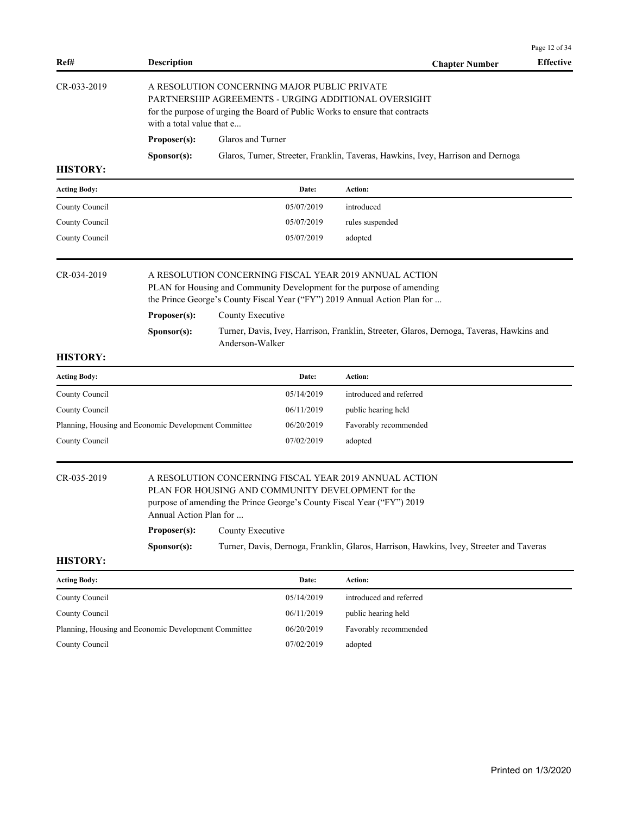| Ref#                | <b>Description</b>                                   |                   |                                              | <b>Chapter Number</b>                                                                                                                                                                                         | <b>Effective</b> |
|---------------------|------------------------------------------------------|-------------------|----------------------------------------------|---------------------------------------------------------------------------------------------------------------------------------------------------------------------------------------------------------------|------------------|
| CR-033-2019         | with a total value that e                            |                   | A RESOLUTION CONCERNING MAJOR PUBLIC PRIVATE | PARTNERSHIP AGREEMENTS - URGING ADDITIONAL OVERSIGHT<br>for the purpose of urging the Board of Public Works to ensure that contracts                                                                          |                  |
|                     | Proposer(s):                                         | Glaros and Turner |                                              |                                                                                                                                                                                                               |                  |
|                     | Sponsor(s):                                          |                   |                                              | Glaros, Turner, Streeter, Franklin, Taveras, Hawkins, Ivey, Harrison and Dernoga                                                                                                                              |                  |
| <b>HISTORY:</b>     |                                                      |                   |                                              |                                                                                                                                                                                                               |                  |
| <b>Acting Body:</b> |                                                      |                   | Date:                                        | Action:                                                                                                                                                                                                       |                  |
| County Council      |                                                      |                   | 05/07/2019                                   | introduced                                                                                                                                                                                                    |                  |
| County Council      |                                                      |                   | 05/07/2019                                   | rules suspended                                                                                                                                                                                               |                  |
| County Council      |                                                      |                   | 05/07/2019                                   | adopted                                                                                                                                                                                                       |                  |
| CR-034-2019         |                                                      |                   |                                              | A RESOLUTION CONCERNING FISCAL YEAR 2019 ANNUAL ACTION<br>PLAN for Housing and Community Development for the purpose of amending<br>the Prince George's County Fiscal Year ("FY") 2019 Annual Action Plan for |                  |
|                     | Proposer(s):                                         | County Executive  |                                              |                                                                                                                                                                                                               |                  |
|                     | Sponsor(s):                                          | Anderson-Walker   |                                              | Turner, Davis, Ivey, Harrison, Franklin, Streeter, Glaros, Dernoga, Taveras, Hawkins and                                                                                                                      |                  |
| <b>HISTORY:</b>     |                                                      |                   |                                              |                                                                                                                                                                                                               |                  |
| <b>Acting Body:</b> |                                                      |                   | Date:                                        | Action:                                                                                                                                                                                                       |                  |
| County Council      |                                                      |                   | 05/14/2019                                   | introduced and referred                                                                                                                                                                                       |                  |
| County Council      |                                                      |                   | 06/11/2019                                   | public hearing held                                                                                                                                                                                           |                  |
|                     | Planning, Housing and Economic Development Committee |                   | 06/20/2019                                   | Favorably recommended                                                                                                                                                                                         |                  |
| County Council      |                                                      |                   | 07/02/2019                                   | adopted                                                                                                                                                                                                       |                  |
| CR-035-2019         | Annual Action Plan for                               |                   |                                              | A RESOLUTION CONCERNING FISCAL YEAR 2019 ANNUAL ACTION<br>PLAN FOR HOUSING AND COMMUNITY DEVELOPMENT for the<br>purpose of amending the Prince George's County Fiscal Year ("FY") 2019                        |                  |
|                     | Proposer(s):                                         | County Executive  |                                              |                                                                                                                                                                                                               |                  |
|                     | Sponsor(s):                                          |                   |                                              | Turner, Davis, Dernoga, Franklin, Glaros, Harrison, Hawkins, Ivey, Streeter and Taveras                                                                                                                       |                  |
| <b>HISTORY:</b>     |                                                      |                   |                                              |                                                                                                                                                                                                               |                  |
| <b>Acting Body:</b> |                                                      |                   | Date:                                        | Action:                                                                                                                                                                                                       |                  |
| County Council      |                                                      |                   | 05/14/2019                                   | introduced and referred                                                                                                                                                                                       |                  |
| County Council      |                                                      |                   | 06/11/2019                                   | public hearing held                                                                                                                                                                                           |                  |
|                     | Planning, Housing and Economic Development Committee |                   | 06/20/2019                                   | Favorably recommended                                                                                                                                                                                         |                  |
| County Council      |                                                      |                   | 07/02/2019                                   | adopted                                                                                                                                                                                                       |                  |

Page 12 of 34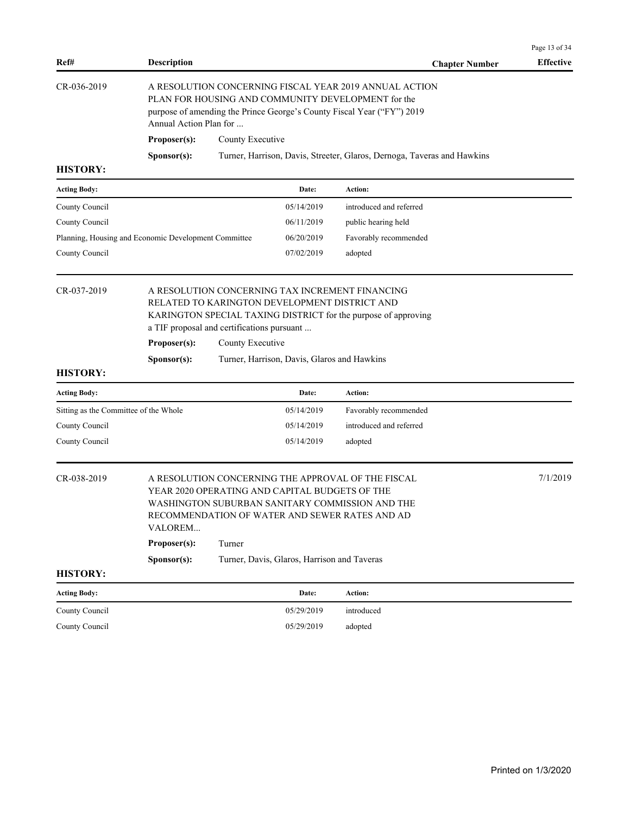| Ref#                                                 | <b>Description</b>     |                                                                                             |                                             | <b>Chapter Number</b>                                                                                                                                                                  | Page 13 of 34<br><b>Effective</b> |
|------------------------------------------------------|------------------------|---------------------------------------------------------------------------------------------|---------------------------------------------|----------------------------------------------------------------------------------------------------------------------------------------------------------------------------------------|-----------------------------------|
| CR-036-2019                                          | Annual Action Plan for |                                                                                             |                                             | A RESOLUTION CONCERNING FISCAL YEAR 2019 ANNUAL ACTION<br>PLAN FOR HOUSING AND COMMUNITY DEVELOPMENT for the<br>purpose of amending the Prince George's County Fiscal Year ("FY") 2019 |                                   |
|                                                      | Proposer(s):           | County Executive                                                                            |                                             |                                                                                                                                                                                        |                                   |
|                                                      | Sponsor(s):            |                                                                                             |                                             | Turner, Harrison, Davis, Streeter, Glaros, Dernoga, Taveras and Hawkins                                                                                                                |                                   |
| <b>HISTORY:</b>                                      |                        |                                                                                             |                                             |                                                                                                                                                                                        |                                   |
| <b>Acting Body:</b>                                  |                        |                                                                                             | Date:                                       | Action:                                                                                                                                                                                |                                   |
| County Council                                       |                        |                                                                                             | 05/14/2019                                  | introduced and referred                                                                                                                                                                |                                   |
| County Council                                       |                        |                                                                                             | 06/11/2019                                  | public hearing held                                                                                                                                                                    |                                   |
| Planning, Housing and Economic Development Committee |                        |                                                                                             | 06/20/2019                                  | Favorably recommended                                                                                                                                                                  |                                   |
| County Council                                       |                        |                                                                                             | 07/02/2019                                  | adopted                                                                                                                                                                                |                                   |
| CR-037-2019                                          |                        | RELATED TO KARINGTON DEVELOPMENT DISTRICT AND<br>a TIF proposal and certifications pursuant |                                             | A RESOLUTION CONCERNING TAX INCREMENT FINANCING<br>KARINGTON SPECIAL TAXING DISTRICT for the purpose of approving                                                                      |                                   |
|                                                      | Proposer(s):           | County Executive                                                                            |                                             |                                                                                                                                                                                        |                                   |
|                                                      | Sponsor(s):            |                                                                                             | Turner, Harrison, Davis, Glaros and Hawkins |                                                                                                                                                                                        |                                   |
| <b>HISTORY:</b>                                      |                        |                                                                                             |                                             |                                                                                                                                                                                        |                                   |
| <b>Acting Body:</b>                                  |                        |                                                                                             | Date:                                       | Action:                                                                                                                                                                                |                                   |
| Sitting as the Committee of the Whole                |                        |                                                                                             | 05/14/2019                                  | Favorably recommended                                                                                                                                                                  |                                   |
| County Council                                       |                        |                                                                                             | 05/14/2019                                  | introduced and referred                                                                                                                                                                |                                   |
| County Council                                       |                        |                                                                                             | 05/14/2019                                  | adopted                                                                                                                                                                                |                                   |
| CR-038-2019                                          | VALOREM                | YEAR 2020 OPERATING AND CAPITAL BUDGETS OF THE                                              |                                             | A RESOLUTION CONCERNING THE APPROVAL OF THE FISCAL<br>WASHINGTON SUBURBAN SANITARY COMMISSION AND THE<br>RECOMMENDATION OF WATER AND SEWER RATES AND AD                                | 7/1/2019                          |
|                                                      | Proposer(s):           | Turner                                                                                      |                                             |                                                                                                                                                                                        |                                   |
|                                                      | Sponsor(s):            |                                                                                             | Turner, Davis, Glaros, Harrison and Taveras |                                                                                                                                                                                        |                                   |
| <b>HISTORY:</b>                                      |                        |                                                                                             |                                             |                                                                                                                                                                                        |                                   |
| <b>Acting Body:</b>                                  |                        |                                                                                             | Date:                                       | Action:                                                                                                                                                                                |                                   |
| County Council                                       |                        |                                                                                             | 05/29/2019                                  | introduced                                                                                                                                                                             |                                   |
| County Council                                       |                        |                                                                                             | 05/29/2019                                  | adopted                                                                                                                                                                                |                                   |
|                                                      |                        |                                                                                             |                                             |                                                                                                                                                                                        |                                   |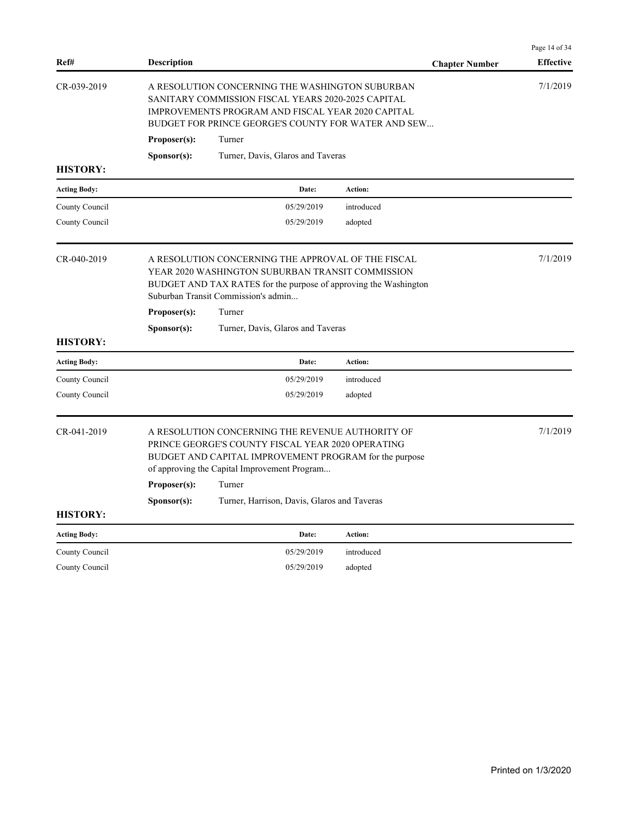| Ref#                | <b>Description</b>                                                                                                                                                                                                | <b>Chapter Number</b> | Page 14 of 34<br><b>Effective</b> |
|---------------------|-------------------------------------------------------------------------------------------------------------------------------------------------------------------------------------------------------------------|-----------------------|-----------------------------------|
| CR-039-2019         | A RESOLUTION CONCERNING THE WASHINGTON SUBURBAN<br>SANITARY COMMISSION FISCAL YEARS 2020-2025 CAPITAL<br>IMPROVEMENTS PROGRAM AND FISCAL YEAR 2020 CAPITAL<br>BUDGET FOR PRINCE GEORGE'S COUNTY FOR WATER AND SEW |                       | 7/1/2019                          |
|                     | Proposer(s):<br>Turner                                                                                                                                                                                            |                       |                                   |
| <b>HISTORY:</b>     | Turner, Davis, Glaros and Taveras<br>S <b>p</b> onsor(s):                                                                                                                                                         |                       |                                   |
|                     |                                                                                                                                                                                                                   |                       |                                   |
| <b>Acting Body:</b> | Date:                                                                                                                                                                                                             | Action:               |                                   |
| County Council      | 05/29/2019                                                                                                                                                                                                        | introduced            |                                   |
| County Council      | 05/29/2019                                                                                                                                                                                                        | adopted               |                                   |
| CR-040-2019         | A RESOLUTION CONCERNING THE APPROVAL OF THE FISCAL<br>YEAR 2020 WASHINGTON SUBURBAN TRANSIT COMMISSION<br>BUDGET AND TAX RATES for the purpose of approving the Washington<br>Suburban Transit Commission's admin |                       | 7/1/2019                          |
|                     | Turner<br>Proposer(s):                                                                                                                                                                                            |                       |                                   |
|                     | S <b>p</b> onsor(s):<br>Turner, Davis, Glaros and Taveras                                                                                                                                                         |                       |                                   |
| <b>HISTORY:</b>     |                                                                                                                                                                                                                   |                       |                                   |
| <b>Acting Body:</b> | Date:                                                                                                                                                                                                             | <b>Action:</b>        |                                   |
| County Council      | 05/29/2019                                                                                                                                                                                                        | introduced            |                                   |
| County Council      | 05/29/2019                                                                                                                                                                                                        | adopted               |                                   |
| CR-041-2019         | A RESOLUTION CONCERNING THE REVENUE AUTHORITY OF<br>PRINCE GEORGE'S COUNTY FISCAL YEAR 2020 OPERATING<br>BUDGET AND CAPITAL IMPROVEMENT PROGRAM for the purpose<br>of approving the Capital Improvement Program   |                       | 7/1/2019                          |
|                     | Proposer(s):<br>Turner                                                                                                                                                                                            |                       |                                   |
|                     | S <b>p</b> onsor(s):<br>Turner, Harrison, Davis, Glaros and Taveras                                                                                                                                               |                       |                                   |
| <b>HISTORY:</b>     |                                                                                                                                                                                                                   |                       |                                   |
| <b>Acting Body:</b> | Date:                                                                                                                                                                                                             | Action:               |                                   |
| County Council      | 05/29/2019                                                                                                                                                                                                        | introduced            |                                   |
| County Council      | 05/29/2019                                                                                                                                                                                                        | adopted               |                                   |
|                     |                                                                                                                                                                                                                   |                       |                                   |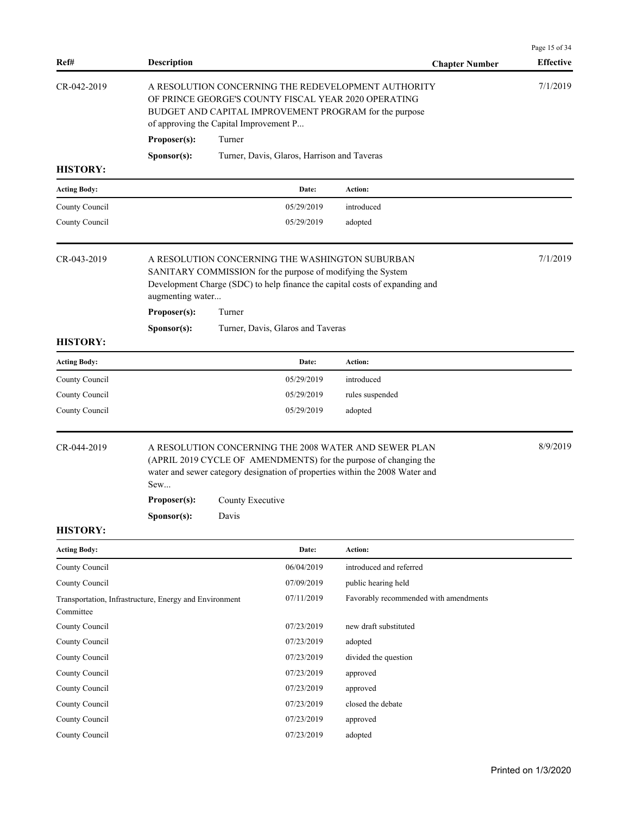| Ref#                             | <b>Description</b>                                     |                                                                                                                                                                                                                                        | <b>Chapter Number</b>                 | Page 15 of 34<br><b>Effective</b> |
|----------------------------------|--------------------------------------------------------|----------------------------------------------------------------------------------------------------------------------------------------------------------------------------------------------------------------------------------------|---------------------------------------|-----------------------------------|
| CR-042-2019                      | Proposer(s):                                           | A RESOLUTION CONCERNING THE REDEVELOPMENT AUTHORITY<br>OF PRINCE GEORGE'S COUNTY FISCAL YEAR 2020 OPERATING<br>BUDGET AND CAPITAL IMPROVEMENT PROGRAM for the purpose<br>of approving the Capital Improvement P<br>Turner              |                                       | 7/1/2019                          |
| <b>HISTORY:</b>                  | Sponsor(s):                                            | Turner, Davis, Glaros, Harrison and Taveras                                                                                                                                                                                            |                                       |                                   |
|                                  |                                                        | Date:                                                                                                                                                                                                                                  | Action:                               |                                   |
| <b>Acting Body:</b>              |                                                        |                                                                                                                                                                                                                                        | introduced                            |                                   |
| County Council<br>County Council |                                                        | 05/29/2019<br>05/29/2019                                                                                                                                                                                                               | adopted                               |                                   |
| CR-043-2019                      | augmenting water<br>Proposer(s):                       | A RESOLUTION CONCERNING THE WASHINGTON SUBURBAN<br>SANITARY COMMISSION for the purpose of modifying the System<br>Development Charge (SDC) to help finance the capital costs of expanding and<br>Turner                                |                                       | 7/1/2019                          |
| <b>HISTORY:</b>                  | Sponsor(s):                                            | Turner, Davis, Glaros and Taveras                                                                                                                                                                                                      |                                       |                                   |
| <b>Acting Body:</b>              |                                                        | Date:                                                                                                                                                                                                                                  | Action:                               |                                   |
| County Council                   |                                                        | 05/29/2019                                                                                                                                                                                                                             | introduced                            |                                   |
| County Council                   |                                                        | 05/29/2019                                                                                                                                                                                                                             | rules suspended                       |                                   |
| County Council                   |                                                        | 05/29/2019                                                                                                                                                                                                                             | adopted                               |                                   |
| CR-044-2019                      | Sew<br>Proposer(s):<br>Sponsor(s):                     | A RESOLUTION CONCERNING THE 2008 WATER AND SEWER PLAN<br>(APRIL 2019 CYCLE OF AMENDMENTS) for the purpose of changing the<br>water and sewer category designation of properties within the 2008 Water and<br>County Executive<br>Davis |                                       | 8/9/2019                          |
| <b>HISTORY:</b>                  |                                                        |                                                                                                                                                                                                                                        |                                       |                                   |
| <b>Acting Body:</b>              |                                                        | Date:                                                                                                                                                                                                                                  | Action:                               |                                   |
| County Council                   |                                                        | 06/04/2019                                                                                                                                                                                                                             | introduced and referred               |                                   |
| County Council                   |                                                        | 07/09/2019                                                                                                                                                                                                                             | public hearing held                   |                                   |
| Committee                        | Transportation, Infrastructure, Energy and Environment | 07/11/2019                                                                                                                                                                                                                             | Favorably recommended with amendments |                                   |
| County Council                   |                                                        | 07/23/2019                                                                                                                                                                                                                             | new draft substituted                 |                                   |
| County Council                   |                                                        | 07/23/2019                                                                                                                                                                                                                             | adopted                               |                                   |
| County Council                   |                                                        | 07/23/2019                                                                                                                                                                                                                             | divided the question                  |                                   |
| County Council                   |                                                        | 07/23/2019                                                                                                                                                                                                                             | approved                              |                                   |
| County Council                   |                                                        | 07/23/2019                                                                                                                                                                                                                             | approved                              |                                   |
| County Council                   |                                                        | 07/23/2019                                                                                                                                                                                                                             | closed the debate                     |                                   |
| County Council                   |                                                        | 07/23/2019                                                                                                                                                                                                                             | approved                              |                                   |
| County Council                   |                                                        | 07/23/2019                                                                                                                                                                                                                             | adopted                               |                                   |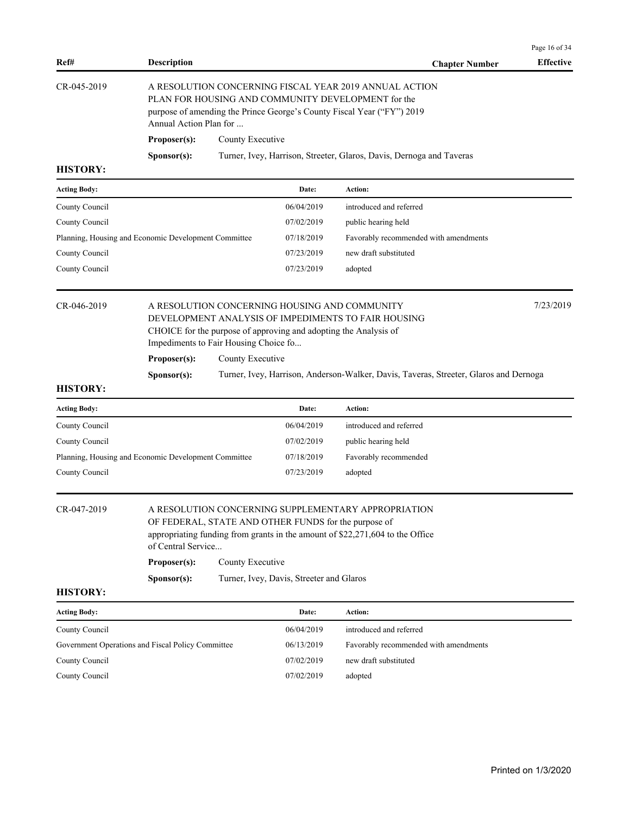| Ref#                                                 | <b>Description</b>     |                                                           |                                                                  | <b>Chapter Number</b>                                                                                                                                                                  | <b>Effective</b> |
|------------------------------------------------------|------------------------|-----------------------------------------------------------|------------------------------------------------------------------|----------------------------------------------------------------------------------------------------------------------------------------------------------------------------------------|------------------|
| CR-045-2019                                          | Annual Action Plan for |                                                           |                                                                  | A RESOLUTION CONCERNING FISCAL YEAR 2019 ANNUAL ACTION<br>PLAN FOR HOUSING AND COMMUNITY DEVELOPMENT for the<br>purpose of amending the Prince George's County Fiscal Year ("FY") 2019 |                  |
|                                                      | Proposer(s):           | County Executive                                          |                                                                  |                                                                                                                                                                                        |                  |
|                                                      | Sponsor(s):            |                                                           |                                                                  | Turner, Ivey, Harrison, Streeter, Glaros, Davis, Dernoga and Taveras                                                                                                                   |                  |
| <b>HISTORY:</b>                                      |                        |                                                           |                                                                  |                                                                                                                                                                                        |                  |
| <b>Acting Body:</b>                                  |                        |                                                           | Date:                                                            | Action:                                                                                                                                                                                |                  |
| County Council                                       |                        |                                                           | 06/04/2019                                                       | introduced and referred                                                                                                                                                                |                  |
| County Council                                       |                        |                                                           | 07/02/2019                                                       | public hearing held                                                                                                                                                                    |                  |
| Planning, Housing and Economic Development Committee |                        |                                                           | 07/18/2019                                                       | Favorably recommended with amendments                                                                                                                                                  |                  |
| County Council                                       |                        |                                                           | 07/23/2019                                                       | new draft substituted                                                                                                                                                                  |                  |
| County Council                                       |                        |                                                           | 07/23/2019                                                       | adopted                                                                                                                                                                                |                  |
| CR-046-2019                                          | Proposer(s):           | Impediments to Fair Housing Choice fo<br>County Executive | CHOICE for the purpose of approving and adopting the Analysis of | A RESOLUTION CONCERNING HOUSING AND COMMUNITY<br>DEVELOPMENT ANALYSIS OF IMPEDIMENTS TO FAIR HOUSING                                                                                   | 7/23/2019        |
| <b>HISTORY:</b>                                      | Sponsor(s):            |                                                           |                                                                  | Turner, Ivey, Harrison, Anderson-Walker, Davis, Taveras, Streeter, Glaros and Dernoga                                                                                                  |                  |
| <b>Acting Body:</b>                                  |                        |                                                           | Date:                                                            | Action:                                                                                                                                                                                |                  |
| County Council                                       |                        |                                                           | 06/04/2019                                                       | introduced and referred                                                                                                                                                                |                  |
| County Council                                       |                        |                                                           | 07/02/2019                                                       | public hearing held                                                                                                                                                                    |                  |
| Planning, Housing and Economic Development Committee |                        |                                                           | 07/18/2019                                                       | Favorably recommended                                                                                                                                                                  |                  |
| County Council                                       |                        |                                                           | 07/23/2019                                                       | adopted                                                                                                                                                                                |                  |
| CR-047-2019                                          | of Central Service     |                                                           | OF FEDERAL, STATE AND OTHER FUNDS for the purpose of             | A RESOLUTION CONCERNING SUPPLEMENTARY APPROPRIATION<br>appropriating funding from grants in the amount of \$22,271,604 to the Office                                                   |                  |
|                                                      | Proposer(s):           | County Executive                                          |                                                                  |                                                                                                                                                                                        |                  |
|                                                      | Sponsor(s):            |                                                           | Turner, Ivey, Davis, Streeter and Glaros                         |                                                                                                                                                                                        |                  |
| <b>HISTORY:</b>                                      |                        |                                                           |                                                                  |                                                                                                                                                                                        |                  |
| <b>Acting Body:</b>                                  |                        |                                                           | Date:                                                            | Action:                                                                                                                                                                                |                  |
| County Council                                       |                        |                                                           | 06/04/2019                                                       | introduced and referred                                                                                                                                                                |                  |
| Government Operations and Fiscal Policy Committee    |                        |                                                           | 06/13/2019                                                       | Favorably recommended with amendments                                                                                                                                                  |                  |
| County Council                                       |                        |                                                           | 07/02/2019                                                       | new draft substituted                                                                                                                                                                  |                  |
| County Council                                       |                        |                                                           | 07/02/2019                                                       | adopted                                                                                                                                                                                |                  |

Page 16 of 34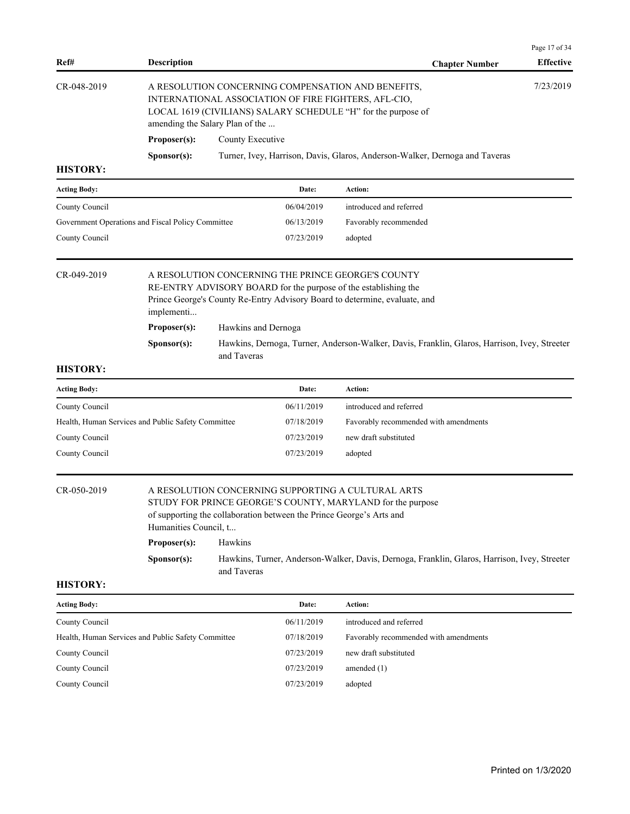| Ref#                | <b>Description</b>                                   |                                    |                                                                      | <b>Chapter Number</b>                                                                                                                                                                                                                                                                               | Page 17 of 34<br><b>Effective</b> |
|---------------------|------------------------------------------------------|------------------------------------|----------------------------------------------------------------------|-----------------------------------------------------------------------------------------------------------------------------------------------------------------------------------------------------------------------------------------------------------------------------------------------------|-----------------------------------|
| CR-048-2019         | amending the Salary Plan of the                      |                                    |                                                                      | A RESOLUTION CONCERNING COMPENSATION AND BENEFITS,<br>INTERNATIONAL ASSOCIATION OF FIRE FIGHTERS, AFL-CIO,<br>LOCAL 1619 (CIVILIANS) SALARY SCHEDULE "H" for the purpose of                                                                                                                         | 7/23/2019                         |
|                     | Proposer(s):                                         | County Executive                   |                                                                      |                                                                                                                                                                                                                                                                                                     |                                   |
|                     | Sponsor(s):                                          |                                    |                                                                      | Turner, Ivey, Harrison, Davis, Glaros, Anderson-Walker, Dernoga and Taveras                                                                                                                                                                                                                         |                                   |
| <b>HISTORY:</b>     |                                                      |                                    |                                                                      |                                                                                                                                                                                                                                                                                                     |                                   |
| <b>Acting Body:</b> |                                                      |                                    | Date:                                                                | Action:                                                                                                                                                                                                                                                                                             |                                   |
| County Council      |                                                      |                                    | 06/04/2019                                                           | introduced and referred                                                                                                                                                                                                                                                                             |                                   |
|                     | Government Operations and Fiscal Policy Committee    |                                    | 06/13/2019                                                           | Favorably recommended                                                                                                                                                                                                                                                                               |                                   |
| County Council      |                                                      |                                    | 07/23/2019                                                           | adopted                                                                                                                                                                                                                                                                                             |                                   |
| CR-049-2019         | implementi<br>Proposer(s):<br>Sponsor(s):            | Hawkins and Dernoga<br>and Taveras |                                                                      | A RESOLUTION CONCERNING THE PRINCE GEORGE'S COUNTY<br>RE-ENTRY ADVISORY BOARD for the purpose of the establishing the<br>Prince George's County Re-Entry Advisory Board to determine, evaluate, and<br>Hawkins, Dernoga, Turner, Anderson-Walker, Davis, Franklin, Glaros, Harrison, Ivey, Streeter |                                   |
| <b>HISTORY:</b>     |                                                      |                                    |                                                                      |                                                                                                                                                                                                                                                                                                     |                                   |
| <b>Acting Body:</b> |                                                      |                                    | Date:                                                                | Action:                                                                                                                                                                                                                                                                                             |                                   |
| County Council      |                                                      |                                    | 06/11/2019                                                           | introduced and referred                                                                                                                                                                                                                                                                             |                                   |
|                     | Health, Human Services and Public Safety Committee   |                                    | 07/18/2019                                                           | Favorably recommended with amendments                                                                                                                                                                                                                                                               |                                   |
| County Council      |                                                      |                                    | 07/23/2019                                                           | new draft substituted                                                                                                                                                                                                                                                                               |                                   |
| County Council      |                                                      |                                    | 07/23/2019                                                           | adopted                                                                                                                                                                                                                                                                                             |                                   |
| CR-050-2019         | Humanities Council, t<br>Proposer(s):<br>Sponsor(s): | Hawkins                            | of supporting the collaboration between the Prince George's Arts and | A RESOLUTION CONCERNING SUPPORTING A CULTURAL ARTS<br>STUDY FOR PRINCE GEORGE'S COUNTY, MARYLAND for the purpose<br>Hawkins, Turner, Anderson-Walker, Davis, Dernoga, Franklin, Glaros, Harrison, Ivey, Streeter                                                                                    |                                   |
| <b>HISTORY:</b>     |                                                      | and Taveras                        |                                                                      |                                                                                                                                                                                                                                                                                                     |                                   |
| <b>Acting Body:</b> |                                                      |                                    | Date:                                                                | Action:                                                                                                                                                                                                                                                                                             |                                   |
| County Council      |                                                      |                                    | 06/11/2019                                                           | introduced and referred                                                                                                                                                                                                                                                                             |                                   |
|                     | Health, Human Services and Public Safety Committee   |                                    | 07/18/2019                                                           | Favorably recommended with amendments                                                                                                                                                                                                                                                               |                                   |
| County Council      |                                                      |                                    | 07/23/2019                                                           | new draft substituted                                                                                                                                                                                                                                                                               |                                   |
| County Council      |                                                      |                                    | 07/23/2019                                                           | amended $(1)$                                                                                                                                                                                                                                                                                       |                                   |
|                     |                                                      |                                    |                                                                      |                                                                                                                                                                                                                                                                                                     |                                   |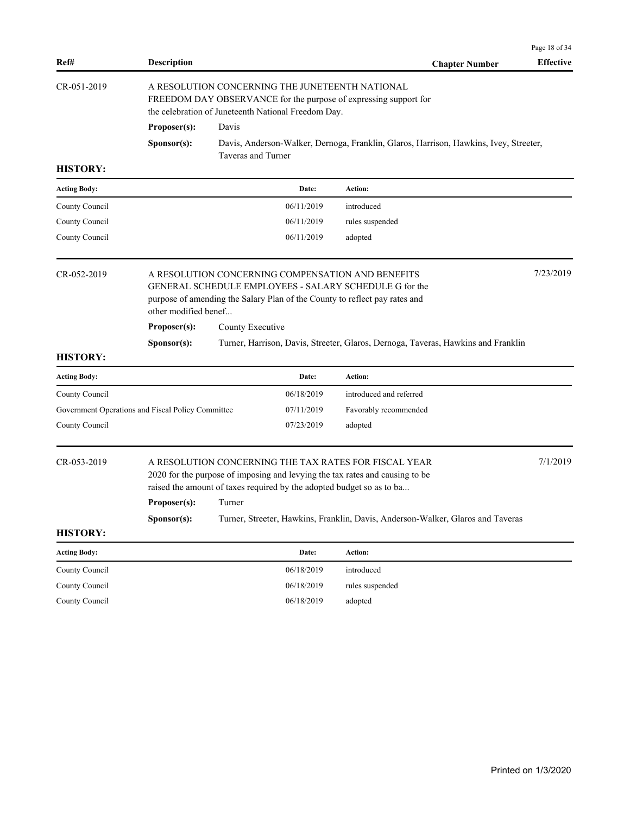| Ref#                                              | <b>Description</b>          |                                                     |            | <b>Chapter Number</b>                                                                                                                                                                                                                                                                             | <b>Effective</b> |
|---------------------------------------------------|-----------------------------|-----------------------------------------------------|------------|---------------------------------------------------------------------------------------------------------------------------------------------------------------------------------------------------------------------------------------------------------------------------------------------------|------------------|
| CR-051-2019                                       |                             | the celebration of Juneteenth National Freedom Day. |            | A RESOLUTION CONCERNING THE JUNETEENTH NATIONAL<br>FREEDOM DAY OBSERVANCE for the purpose of expressing support for                                                                                                                                                                               |                  |
|                                                   | Proposer(s):                | Davis                                               |            |                                                                                                                                                                                                                                                                                                   |                  |
|                                                   | Sponsor(s):                 | Taveras and Turner                                  |            | Davis, Anderson-Walker, Dernoga, Franklin, Glaros, Harrison, Hawkins, Ivey, Streeter,                                                                                                                                                                                                             |                  |
| <b>HISTORY:</b>                                   |                             |                                                     |            |                                                                                                                                                                                                                                                                                                   |                  |
| <b>Acting Body:</b>                               |                             |                                                     | Date:      | Action:                                                                                                                                                                                                                                                                                           |                  |
| County Council                                    |                             |                                                     | 06/11/2019 | introduced                                                                                                                                                                                                                                                                                        |                  |
| County Council                                    |                             |                                                     | 06/11/2019 | rules suspended                                                                                                                                                                                                                                                                                   |                  |
| County Council                                    |                             |                                                     | 06/11/2019 | adopted                                                                                                                                                                                                                                                                                           |                  |
| CR-052-2019                                       | other modified benef        |                                                     |            | A RESOLUTION CONCERNING COMPENSATION AND BENEFITS<br>GENERAL SCHEDULE EMPLOYEES - SALARY SCHEDULE G for the<br>purpose of amending the Salary Plan of the County to reflect pay rates and                                                                                                         | 7/23/2019        |
|                                                   | Proposer(s):                | County Executive                                    |            |                                                                                                                                                                                                                                                                                                   |                  |
|                                                   | Sponsor(s):                 |                                                     |            | Turner, Harrison, Davis, Streeter, Glaros, Dernoga, Taveras, Hawkins and Franklin                                                                                                                                                                                                                 |                  |
| <b>HISTORY:</b>                                   |                             |                                                     |            |                                                                                                                                                                                                                                                                                                   |                  |
| <b>Acting Body:</b>                               |                             |                                                     | Date:      | Action:                                                                                                                                                                                                                                                                                           |                  |
| County Council                                    |                             |                                                     | 06/18/2019 | introduced and referred                                                                                                                                                                                                                                                                           |                  |
| Government Operations and Fiscal Policy Committee |                             |                                                     | 07/11/2019 | Favorably recommended                                                                                                                                                                                                                                                                             |                  |
| County Council                                    |                             |                                                     | 07/23/2019 | adopted                                                                                                                                                                                                                                                                                           |                  |
| CR-053-2019                                       | Proposer(s):<br>Sponsor(s): | Turner                                              |            | A RESOLUTION CONCERNING THE TAX RATES FOR FISCAL YEAR<br>2020 for the purpose of imposing and levying the tax rates and causing to be<br>raised the amount of taxes required by the adopted budget so as to ba<br>Turner, Streeter, Hawkins, Franklin, Davis, Anderson-Walker, Glaros and Taveras | 7/1/2019         |
| <b>HISTORY:</b>                                   |                             |                                                     |            |                                                                                                                                                                                                                                                                                                   |                  |
| <b>Acting Body:</b>                               |                             |                                                     | Date:      | Action:                                                                                                                                                                                                                                                                                           |                  |
| County Council                                    |                             |                                                     | 06/18/2019 | introduced                                                                                                                                                                                                                                                                                        |                  |
| County Council                                    |                             |                                                     | 06/18/2019 | rules suspended                                                                                                                                                                                                                                                                                   |                  |
| County Council                                    |                             |                                                     | 06/18/2019 | adopted                                                                                                                                                                                                                                                                                           |                  |
|                                                   |                             |                                                     |            |                                                                                                                                                                                                                                                                                                   |                  |

Page 18 of 34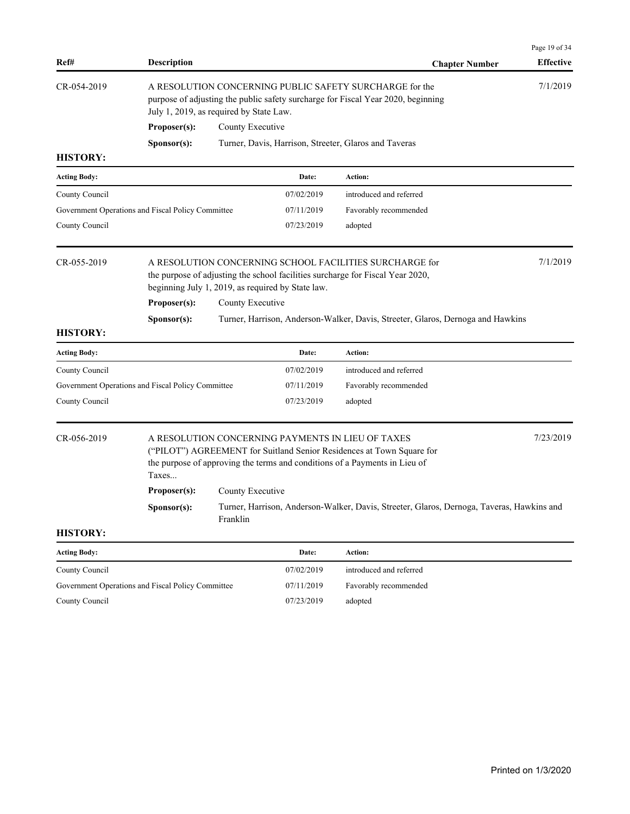|                     |                                                   |                  |                                                   |                                                                                                                                                                                                          | Page 19 of 34    |
|---------------------|---------------------------------------------------|------------------|---------------------------------------------------|----------------------------------------------------------------------------------------------------------------------------------------------------------------------------------------------------------|------------------|
| Ref#                | <b>Description</b>                                |                  |                                                   | <b>Chapter Number</b>                                                                                                                                                                                    | <b>Effective</b> |
| CR-054-2019         | July 1, 2019, as required by State Law.           |                  |                                                   | A RESOLUTION CONCERNING PUBLIC SAFETY SURCHARGE for the<br>purpose of adjusting the public safety surcharge for Fiscal Year 2020, beginning                                                              | 7/1/2019         |
|                     | Proposer(s):                                      | County Executive |                                                   |                                                                                                                                                                                                          |                  |
|                     | S <b>p</b> onsor(s):                              |                  |                                                   | Turner, Davis, Harrison, Streeter, Glaros and Taveras                                                                                                                                                    |                  |
| <b>HISTORY:</b>     |                                                   |                  |                                                   |                                                                                                                                                                                                          |                  |
| <b>Acting Body:</b> |                                                   |                  | Date:                                             | Action:                                                                                                                                                                                                  |                  |
| County Council      |                                                   |                  | 07/02/2019                                        | introduced and referred                                                                                                                                                                                  |                  |
|                     | Government Operations and Fiscal Policy Committee |                  | 07/11/2019                                        | Favorably recommended                                                                                                                                                                                    |                  |
| County Council      |                                                   |                  | 07/23/2019                                        | adopted                                                                                                                                                                                                  |                  |
| CR-055-2019         |                                                   |                  | beginning July 1, 2019, as required by State law. | A RESOLUTION CONCERNING SCHOOL FACILITIES SURCHARGE for<br>the purpose of adjusting the school facilities surcharge for Fiscal Year 2020,                                                                | 7/1/2019         |
|                     | Proposer(s):                                      | County Executive |                                                   |                                                                                                                                                                                                          |                  |
|                     | Sponsor(s):                                       |                  |                                                   | Turner, Harrison, Anderson-Walker, Davis, Streeter, Glaros, Dernoga and Hawkins                                                                                                                          |                  |
| <b>HISTORY:</b>     |                                                   |                  |                                                   |                                                                                                                                                                                                          |                  |
| <b>Acting Body:</b> |                                                   |                  | Date:                                             | Action:                                                                                                                                                                                                  |                  |
| County Council      |                                                   |                  | 07/02/2019                                        | introduced and referred                                                                                                                                                                                  |                  |
|                     | Government Operations and Fiscal Policy Committee |                  | 07/11/2019                                        | Favorably recommended                                                                                                                                                                                    |                  |
| County Council      |                                                   |                  | 07/23/2019                                        | adopted                                                                                                                                                                                                  |                  |
| CR-056-2019         | Taxes                                             |                  |                                                   | A RESOLUTION CONCERNING PAYMENTS IN LIEU OF TAXES<br>("PILOT") AGREEMENT for Suitland Senior Residences at Town Square for<br>the purpose of approving the terms and conditions of a Payments in Lieu of | 7/23/2019        |
|                     | Proposer(s):                                      | County Executive |                                                   |                                                                                                                                                                                                          |                  |
|                     | Sponsor(s):                                       | Franklin         |                                                   | Turner, Harrison, Anderson-Walker, Davis, Streeter, Glaros, Dernoga, Taveras, Hawkins and                                                                                                                |                  |
| <b>HISTORY:</b>     |                                                   |                  |                                                   |                                                                                                                                                                                                          |                  |
| <b>Acting Body:</b> |                                                   |                  | Date:                                             | Action:                                                                                                                                                                                                  |                  |
| County Council      |                                                   |                  | 07/02/2019                                        | introduced and referred                                                                                                                                                                                  |                  |
|                     | Government Operations and Fiscal Policy Committee |                  | 07/11/2019                                        | Favorably recommended                                                                                                                                                                                    |                  |
| County Council      |                                                   |                  | 07/23/2019                                        | adopted                                                                                                                                                                                                  |                  |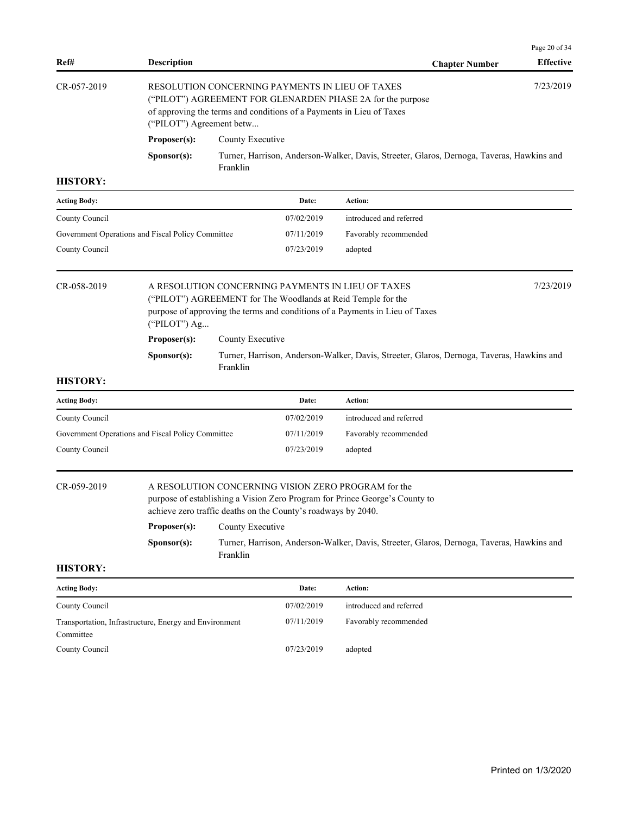|                    |                          |                                                                                                                                                                                       |                       | Page 20 of 34    |
|--------------------|--------------------------|---------------------------------------------------------------------------------------------------------------------------------------------------------------------------------------|-----------------------|------------------|
| Ref#               | <b>Description</b>       |                                                                                                                                                                                       | <b>Chapter Number</b> | <b>Effective</b> |
| $CR - 0.57 - 2019$ | ("PILOT") Agreement betw | RESOLUTION CONCERNING PAYMENTS IN LIEU OF TAXES<br>("PILOT") AGREEMENT FOR GLENARDEN PHASE 2A for the purpose<br>of approving the terms and conditions of a Payments in Lieu of Taxes |                       | 7/23/2019        |
|                    | Proposer(s):             | County Executive                                                                                                                                                                      |                       |                  |
|                    | S <b>p</b> onsor(s):     | Turner, Harrison, Anderson-Walker, Davis, Streeter, Glaros, Dernoga, Taveras, Hawkins and<br>Franklin                                                                                 |                       |                  |

| introduced and referred |
|-------------------------|
|                         |
| Favorably recommended   |
| adopted                 |
|                         |

| CR-058-2019 |                                                                                                | 7/23/2019<br>A RESOLUTION CONCERNING PAYMENTS IN LIEU OF TAXES<br>("PILOT") AGREEMENT for The Woodlands at Reid Temple for the |  |  |  |  |
|-------------|------------------------------------------------------------------------------------------------|--------------------------------------------------------------------------------------------------------------------------------|--|--|--|--|
|             | purpose of approving the terms and conditions of a Payments in Lieu of Taxes<br>("PILOT") $Ag$ |                                                                                                                                |  |  |  |  |
|             | Proposer(s):                                                                                   | County Executive                                                                                                               |  |  |  |  |
|             | S <b>p</b> onsor(s):                                                                           | Turner, Harrison, Anderson-Walker, Davis, Streeter, Glaros, Dernoga, Taveras, Hawkins and<br>Franklin                          |  |  |  |  |

# **HISTORY:**

| <b>Acting Body:</b>                               | Date:      | Action:                 |
|---------------------------------------------------|------------|-------------------------|
| County Council                                    | 07/02/2019 | introduced and referred |
| Government Operations and Fiscal Policy Committee | 07/11/2019 | Favorably recommended   |
| County Council                                    | 07/23/2019 | adopted                 |

# CR-059-2019 A RESOLUTION CONCERNING VISION ZERO PROGRAM for the

purpose of establishing a Vision Zero Program for Prince George's County to achieve zero traffic deaths on the County's roadways by 2040.

| Proposer(s):         | County Executive                                                                          |
|----------------------|-------------------------------------------------------------------------------------------|
| S <b>p</b> onsor(s): | Turner, Harrison, Anderson-Walker, Davis, Streeter, Glaros, Dernoga, Taveras, Hawkins and |
|                      | Franklin                                                                                  |

| <b>Acting Body:</b>                                    | Date:      | Action:                 |
|--------------------------------------------------------|------------|-------------------------|
| County Council                                         | 07/02/2019 | introduced and referred |
| Transportation, Infrastructure, Energy and Environment | 07/11/2019 | Favorably recommended   |
| Committee                                              |            |                         |
| County Council                                         | 07/23/2019 | adopted                 |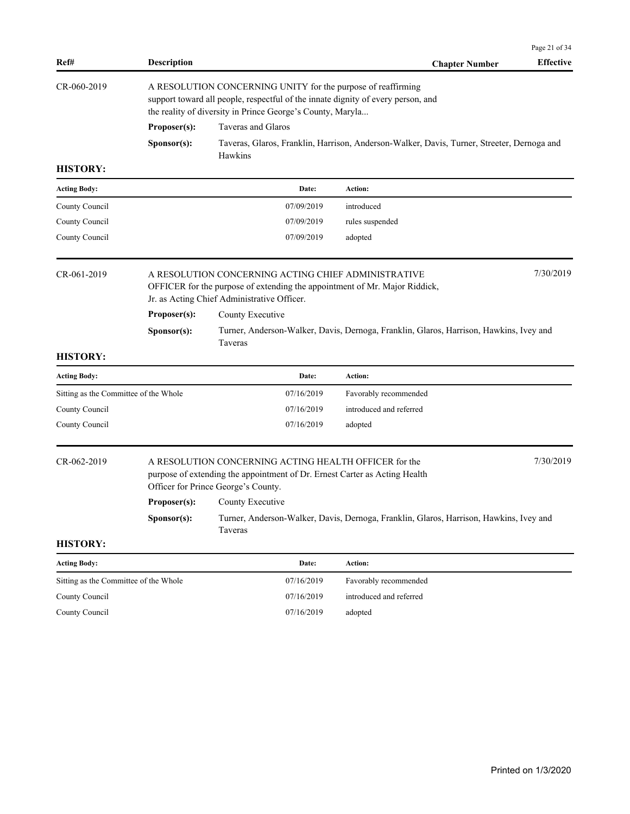| Ref#                                  | <b>Description</b> |                                                                                                                                                                                                                | <b>Chapter Number</b>                                                                      | Page 21 of 34<br><b>Effective</b> |  |  |
|---------------------------------------|--------------------|----------------------------------------------------------------------------------------------------------------------------------------------------------------------------------------------------------------|--------------------------------------------------------------------------------------------|-----------------------------------|--|--|
| CR-060-2019                           |                    | A RESOLUTION CONCERNING UNITY for the purpose of reaffirming<br>support toward all people, respectful of the innate dignity of every person, and<br>the reality of diversity in Prince George's County, Maryla |                                                                                            |                                   |  |  |
|                                       | Proposer(s):       | Taveras and Glaros                                                                                                                                                                                             |                                                                                            |                                   |  |  |
|                                       | Sponsor(s):        | Hawkins                                                                                                                                                                                                        | Taveras, Glaros, Franklin, Harrison, Anderson-Walker, Davis, Turner, Streeter, Dernoga and |                                   |  |  |
| <b>HISTORY:</b>                       |                    |                                                                                                                                                                                                                |                                                                                            |                                   |  |  |
| <b>Acting Body:</b>                   |                    | Date:                                                                                                                                                                                                          | Action:                                                                                    |                                   |  |  |
| County Council                        |                    | 07/09/2019                                                                                                                                                                                                     | introduced                                                                                 |                                   |  |  |
| County Council                        |                    | 07/09/2019                                                                                                                                                                                                     | rules suspended                                                                            |                                   |  |  |
| County Council                        |                    | 07/09/2019                                                                                                                                                                                                     | adopted                                                                                    |                                   |  |  |
| CR-061-2019                           |                    | A RESOLUTION CONCERNING ACTING CHIEF ADMINISTRATIVE<br>OFFICER for the purpose of extending the appointment of Mr. Major Riddick,<br>Jr. as Acting Chief Administrative Officer.                               |                                                                                            | 7/30/2019                         |  |  |
|                                       | Proposer(s):       | County Executive                                                                                                                                                                                               |                                                                                            |                                   |  |  |
|                                       | Sponsor(s):        | Taveras                                                                                                                                                                                                        | Turner, Anderson-Walker, Davis, Dernoga, Franklin, Glaros, Harrison, Hawkins, Ivey and     |                                   |  |  |
| <b>HISTORY:</b>                       |                    |                                                                                                                                                                                                                |                                                                                            |                                   |  |  |
| <b>Acting Body:</b>                   |                    | Date:                                                                                                                                                                                                          | Action:                                                                                    |                                   |  |  |
| Sitting as the Committee of the Whole |                    | 07/16/2019                                                                                                                                                                                                     | Favorably recommended                                                                      |                                   |  |  |
| County Council                        |                    | 07/16/2019                                                                                                                                                                                                     | introduced and referred                                                                    |                                   |  |  |
| County Council                        |                    | 07/16/2019                                                                                                                                                                                                     | adopted                                                                                    |                                   |  |  |
| CR-062-2019                           |                    | A RESOLUTION CONCERNING ACTING HEALTH OFFICER for the<br>purpose of extending the appointment of Dr. Ernest Carter as Acting Health<br>Officer for Prince George's County.                                     |                                                                                            | 7/30/2019                         |  |  |
|                                       |                    | <b>Proposer(s):</b> County Executive                                                                                                                                                                           |                                                                                            |                                   |  |  |
|                                       | Sponsor(s):        | Taveras                                                                                                                                                                                                        | Turner, Anderson-Walker, Davis, Dernoga, Franklin, Glaros, Harrison, Hawkins, Ivey and     |                                   |  |  |
| <b>HISTORY:</b>                       |                    |                                                                                                                                                                                                                |                                                                                            |                                   |  |  |
| <b>Acting Body:</b>                   |                    | Date:                                                                                                                                                                                                          | Action:                                                                                    |                                   |  |  |
| Sitting as the Committee of the Whole |                    | 07/16/2019                                                                                                                                                                                                     | Favorably recommended                                                                      |                                   |  |  |
| County Council                        |                    | 07/16/2019                                                                                                                                                                                                     | introduced and referred                                                                    |                                   |  |  |
| County Council                        |                    | 07/16/2019                                                                                                                                                                                                     | adopted                                                                                    |                                   |  |  |
|                                       |                    |                                                                                                                                                                                                                |                                                                                            |                                   |  |  |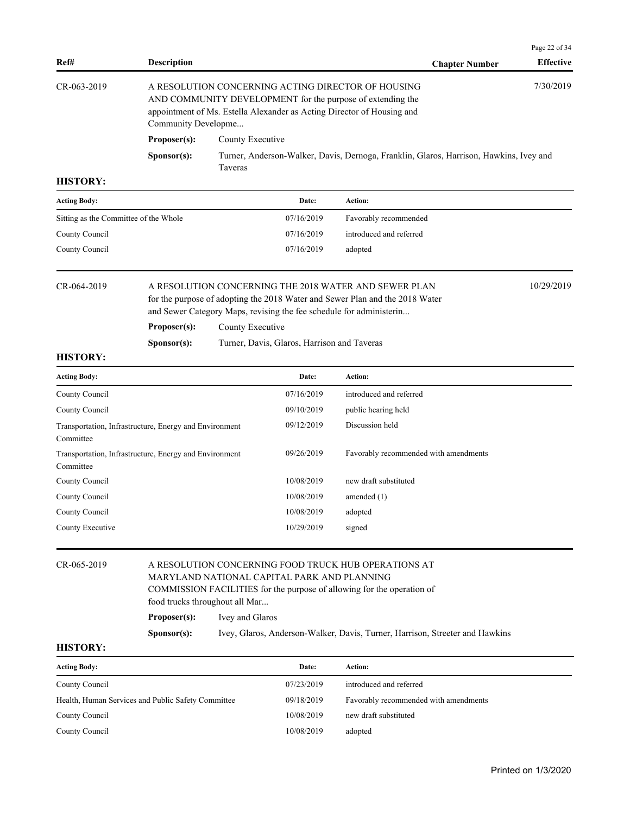|                   |                                                                                                                                                                                                                   |                                                                                                          |                       | Page 22 of 34    |
|-------------------|-------------------------------------------------------------------------------------------------------------------------------------------------------------------------------------------------------------------|----------------------------------------------------------------------------------------------------------|-----------------------|------------------|
| Ref#              | <b>Description</b>                                                                                                                                                                                                |                                                                                                          | <b>Chapter Number</b> | <b>Effective</b> |
| $CR - 063 - 2019$ | A RESOLUTION CONCERNING ACTING DIRECTOR OF HOUSING<br>AND COMMUNITY DEVELOPMENT for the purpose of extending the<br>appointment of Ms. Estella Alexander as Acting Director of Housing and<br>Community Developme |                                                                                                          | 7/30/2019             |                  |
|                   | Proposer(s):                                                                                                                                                                                                      | County Executive                                                                                         |                       |                  |
|                   | S <b>p</b> onsor(s):                                                                                                                                                                                              | Turner, Anderson-Walker, Davis, Dernoga, Franklin, Glaros, Harrison, Hawkins, Ivey and<br><b>Taveras</b> |                       |                  |

| <b>Acting Body:</b>                   | Date:      | Action:                 |
|---------------------------------------|------------|-------------------------|
| Sitting as the Committee of the Whole | 07/16/2019 | Favorably recommended   |
| County Council                        | 07/16/2019 | introduced and referred |
| County Council                        | 07/16/2019 | adopted                 |
|                                       |            |                         |

| $CR - 064 - 2019$ | A RESOLUTION CONCERNING THE 2018 WATER AND SEWER PLAN | 10/29/2019                                                                   |  |
|-------------------|-------------------------------------------------------|------------------------------------------------------------------------------|--|
|                   |                                                       | for the purpose of adopting the 2018 Water and Sewer Plan and the 2018 Water |  |
|                   |                                                       | and Sewer Category Maps, revising the fee schedule for administerin          |  |
|                   | Proposer(s):                                          | County Executive                                                             |  |

| S <b>p</b> onsor(s): | Turner, Davis, Glaros, Harrison and Taveras |
|----------------------|---------------------------------------------|
|----------------------|---------------------------------------------|

# **HISTORY:**

| <b>Acting Body:</b>                                                 | Date:      | <b>Action:</b>                        |
|---------------------------------------------------------------------|------------|---------------------------------------|
| County Council                                                      | 07/16/2019 | introduced and referred               |
| County Council                                                      | 09/10/2019 | public hearing held                   |
| Transportation, Infrastructure, Energy and Environment<br>Committee | 09/12/2019 | Discussion held                       |
| Transportation, Infrastructure, Energy and Environment<br>Committee | 09/26/2019 | Favorably recommended with amendments |
| County Council                                                      | 10/08/2019 | new draft substituted                 |
| County Council                                                      | 10/08/2019 | amended $(1)$                         |
| County Council                                                      | 10/08/2019 | adopted                               |
| County Executive                                                    | 10/29/2019 | signed                                |

| CR-065-2019 | A RESOLUTION CONCERNING FOOD TRUCK HUB OPERATIONS AT<br>MARYLAND NATIONAL CAPITAL PARK AND PLANNING      |                                                                              |  |  |
|-------------|----------------------------------------------------------------------------------------------------------|------------------------------------------------------------------------------|--|--|
|             | COMMISSION FACILITIES for the purpose of allowing for the operation of<br>food trucks throughout all Mar |                                                                              |  |  |
|             | Proposer(s):                                                                                             | Ivey and Glaros                                                              |  |  |
|             | S <b>p</b> onsor(s):                                                                                     | Ivey, Glaros, Anderson-Walker, Davis, Turner, Harrison, Streeter and Hawkins |  |  |

| <b>Acting Body:</b>                                | Date:      | Action:                               |
|----------------------------------------------------|------------|---------------------------------------|
| County Council                                     | 07/23/2019 | introduced and referred               |
| Health, Human Services and Public Safety Committee | 09/18/2019 | Favorably recommended with amendments |
| County Council                                     | 10/08/2019 | new draft substituted                 |
| County Council                                     | 10/08/2019 | adopted                               |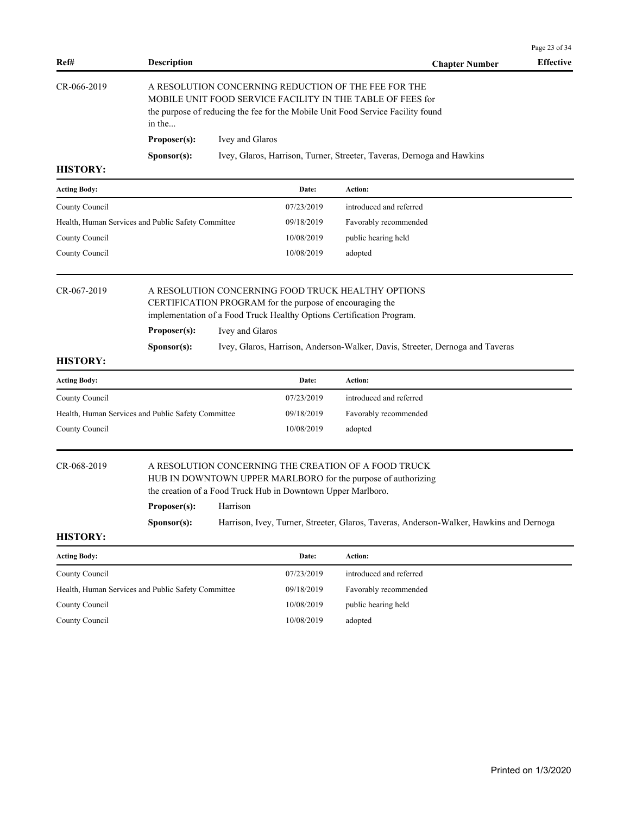| CR-066-2019                                        | in the                                                                                                                                                                                                                                                                                                                     | A RESOLUTION CONCERNING REDUCTION OF THE FEE FOR THE<br>MOBILE UNIT FOOD SERVICE FACILITY IN THE TABLE OF FEES for<br>the purpose of reducing the fee for the Mobile Unit Food Service Facility found |                                                              |                                                                                                                                                                                                                  |  |
|----------------------------------------------------|----------------------------------------------------------------------------------------------------------------------------------------------------------------------------------------------------------------------------------------------------------------------------------------------------------------------------|-------------------------------------------------------------------------------------------------------------------------------------------------------------------------------------------------------|--------------------------------------------------------------|------------------------------------------------------------------------------------------------------------------------------------------------------------------------------------------------------------------|--|
|                                                    | Proposer(s):                                                                                                                                                                                                                                                                                                               | Ivey and Glaros                                                                                                                                                                                       |                                                              |                                                                                                                                                                                                                  |  |
|                                                    | Sponsor(s):                                                                                                                                                                                                                                                                                                                |                                                                                                                                                                                                       |                                                              | Ivey, Glaros, Harrison, Turner, Streeter, Taveras, Dernoga and Hawkins                                                                                                                                           |  |
| <b>HISTORY:</b>                                    |                                                                                                                                                                                                                                                                                                                            |                                                                                                                                                                                                       |                                                              |                                                                                                                                                                                                                  |  |
| <b>Acting Body:</b>                                |                                                                                                                                                                                                                                                                                                                            |                                                                                                                                                                                                       | Date:                                                        | Action:                                                                                                                                                                                                          |  |
| County Council                                     |                                                                                                                                                                                                                                                                                                                            |                                                                                                                                                                                                       | 07/23/2019                                                   | introduced and referred                                                                                                                                                                                          |  |
| Health, Human Services and Public Safety Committee |                                                                                                                                                                                                                                                                                                                            |                                                                                                                                                                                                       | 09/18/2019                                                   | Favorably recommended                                                                                                                                                                                            |  |
| County Council                                     |                                                                                                                                                                                                                                                                                                                            |                                                                                                                                                                                                       | 10/08/2019                                                   | public hearing held                                                                                                                                                                                              |  |
| County Council                                     |                                                                                                                                                                                                                                                                                                                            |                                                                                                                                                                                                       | 10/08/2019                                                   | adopted                                                                                                                                                                                                          |  |
| CR-067-2019                                        | A RESOLUTION CONCERNING FOOD TRUCK HEALTHY OPTIONS<br>CERTIFICATION PROGRAM for the purpose of encouraging the<br>implementation of a Food Truck Healthy Options Certification Program.<br>Proposer(s):<br>Ivey and Glaros<br>Ivey, Glaros, Harrison, Anderson-Walker, Davis, Streeter, Dernoga and Taveras<br>Sponsor(s): |                                                                                                                                                                                                       |                                                              |                                                                                                                                                                                                                  |  |
| <b>HISTORY:</b>                                    |                                                                                                                                                                                                                                                                                                                            |                                                                                                                                                                                                       |                                                              |                                                                                                                                                                                                                  |  |
| <b>Acting Body:</b>                                |                                                                                                                                                                                                                                                                                                                            |                                                                                                                                                                                                       | Date:                                                        | Action:                                                                                                                                                                                                          |  |
| County Council                                     |                                                                                                                                                                                                                                                                                                                            |                                                                                                                                                                                                       | 07/23/2019                                                   | introduced and referred                                                                                                                                                                                          |  |
| Health, Human Services and Public Safety Committee |                                                                                                                                                                                                                                                                                                                            |                                                                                                                                                                                                       | 09/18/2019                                                   | Favorably recommended                                                                                                                                                                                            |  |
| County Council                                     |                                                                                                                                                                                                                                                                                                                            |                                                                                                                                                                                                       | 10/08/2019                                                   | adopted                                                                                                                                                                                                          |  |
| CR-068-2019                                        | Proposer(s):<br>Sponsor(s):                                                                                                                                                                                                                                                                                                | Harrison                                                                                                                                                                                              | the creation of a Food Truck Hub in Downtown Upper Marlboro. | A RESOLUTION CONCERNING THE CREATION OF A FOOD TRUCK<br>HUB IN DOWNTOWN UPPER MARLBORO for the purpose of authorizing<br>Harrison, Ivey, Turner, Streeter, Glaros, Taveras, Anderson-Walker, Hawkins and Dernoga |  |
| <b>HISTORY:</b>                                    |                                                                                                                                                                                                                                                                                                                            |                                                                                                                                                                                                       |                                                              |                                                                                                                                                                                                                  |  |
| <b>Acting Body:</b>                                |                                                                                                                                                                                                                                                                                                                            |                                                                                                                                                                                                       | Date:                                                        | Action:                                                                                                                                                                                                          |  |
| County Council                                     |                                                                                                                                                                                                                                                                                                                            |                                                                                                                                                                                                       | 07/23/2019                                                   | introduced and referred                                                                                                                                                                                          |  |
| Health, Human Services and Public Safety Committee |                                                                                                                                                                                                                                                                                                                            |                                                                                                                                                                                                       | 09/18/2019                                                   | Favorably recommended                                                                                                                                                                                            |  |
| County Council                                     |                                                                                                                                                                                                                                                                                                                            |                                                                                                                                                                                                       | 10/08/2019                                                   | public hearing held                                                                                                                                                                                              |  |
| County Council                                     |                                                                                                                                                                                                                                                                                                                            |                                                                                                                                                                                                       | 10/08/2019                                                   | adopted                                                                                                                                                                                                          |  |
|                                                    |                                                                                                                                                                                                                                                                                                                            |                                                                                                                                                                                                       |                                                              |                                                                                                                                                                                                                  |  |
|                                                    |                                                                                                                                                                                                                                                                                                                            |                                                                                                                                                                                                       |                                                              |                                                                                                                                                                                                                  |  |
|                                                    |                                                                                                                                                                                                                                                                                                                            |                                                                                                                                                                                                       |                                                              |                                                                                                                                                                                                                  |  |
|                                                    |                                                                                                                                                                                                                                                                                                                            |                                                                                                                                                                                                       |                                                              |                                                                                                                                                                                                                  |  |
|                                                    |                                                                                                                                                                                                                                                                                                                            |                                                                                                                                                                                                       |                                                              |                                                                                                                                                                                                                  |  |
|                                                    |                                                                                                                                                                                                                                                                                                                            |                                                                                                                                                                                                       |                                                              |                                                                                                                                                                                                                  |  |

Page 23 of 34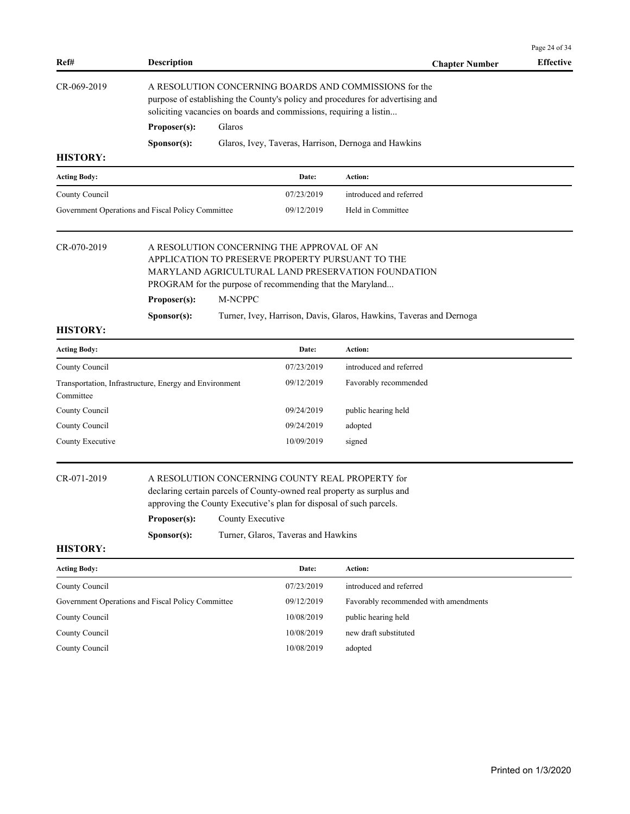|                     |                                                                                                                                                                                                                                              |                                                                                                                                                                                                                |                                     |                                                                     | Page 24 of 34    |  |  |
|---------------------|----------------------------------------------------------------------------------------------------------------------------------------------------------------------------------------------------------------------------------------------|----------------------------------------------------------------------------------------------------------------------------------------------------------------------------------------------------------------|-------------------------------------|---------------------------------------------------------------------|------------------|--|--|
| Ref#                | <b>Description</b>                                                                                                                                                                                                                           |                                                                                                                                                                                                                |                                     | <b>Chapter Number</b>                                               | <b>Effective</b> |  |  |
| CR-069-2019         |                                                                                                                                                                                                                                              | A RESOLUTION CONCERNING BOARDS AND COMMISSIONS for the<br>purpose of establishing the County's policy and procedures for advertising and<br>soliciting vacancies on boards and commissions, requiring a listin |                                     |                                                                     |                  |  |  |
|                     | Proposer(s):                                                                                                                                                                                                                                 | Glaros                                                                                                                                                                                                         |                                     |                                                                     |                  |  |  |
|                     | Sponsor(s):                                                                                                                                                                                                                                  |                                                                                                                                                                                                                |                                     | Glaros, Ivey, Taveras, Harrison, Dernoga and Hawkins                |                  |  |  |
| <b>HISTORY:</b>     |                                                                                                                                                                                                                                              |                                                                                                                                                                                                                |                                     |                                                                     |                  |  |  |
| Acting Body:        |                                                                                                                                                                                                                                              |                                                                                                                                                                                                                | Date:                               | Action:                                                             |                  |  |  |
| County Council      |                                                                                                                                                                                                                                              |                                                                                                                                                                                                                | 07/23/2019                          | introduced and referred                                             |                  |  |  |
|                     | Government Operations and Fiscal Policy Committee                                                                                                                                                                                            |                                                                                                                                                                                                                | 09/12/2019                          | Held in Committee                                                   |                  |  |  |
| CR-070-2019         | A RESOLUTION CONCERNING THE APPROVAL OF AN<br>APPLICATION TO PRESERVE PROPERTY PURSUANT TO THE<br>MARYLAND AGRICULTURAL LAND PRESERVATION FOUNDATION<br>PROGRAM for the purpose of recommending that the Maryland<br>M-NCPPC<br>Proposer(s): |                                                                                                                                                                                                                |                                     |                                                                     |                  |  |  |
|                     | Sponsor(s):                                                                                                                                                                                                                                  |                                                                                                                                                                                                                |                                     | Turner, Ivey, Harrison, Davis, Glaros, Hawkins, Taveras and Dernoga |                  |  |  |
| <b>HISTORY:</b>     |                                                                                                                                                                                                                                              |                                                                                                                                                                                                                |                                     |                                                                     |                  |  |  |
| Acting Body:        |                                                                                                                                                                                                                                              |                                                                                                                                                                                                                | Date:                               | Action:                                                             |                  |  |  |
| County Council      |                                                                                                                                                                                                                                              |                                                                                                                                                                                                                | 07/23/2019                          | introduced and referred                                             |                  |  |  |
| Committee           | Transportation, Infrastructure, Energy and Environment                                                                                                                                                                                       |                                                                                                                                                                                                                | 09/12/2019                          | Favorably recommended                                               |                  |  |  |
| County Council      |                                                                                                                                                                                                                                              |                                                                                                                                                                                                                | 09/24/2019                          | public hearing held                                                 |                  |  |  |
| County Council      |                                                                                                                                                                                                                                              |                                                                                                                                                                                                                | 09/24/2019                          | adopted                                                             |                  |  |  |
| County Executive    |                                                                                                                                                                                                                                              |                                                                                                                                                                                                                | 10/09/2019                          | signed                                                              |                  |  |  |
| CR-071-2019         | A RESOLUTION CONCERNING COUNTY REAL PROPERTY for<br>declaring certain parcels of County-owned real property as surplus and<br>approving the County Executive's plan for disposal of such parcels.<br>Proposer(s):<br>County Executive        |                                                                                                                                                                                                                |                                     |                                                                     |                  |  |  |
|                     | Sponsor(s):                                                                                                                                                                                                                                  |                                                                                                                                                                                                                | Turner, Glaros, Taveras and Hawkins |                                                                     |                  |  |  |
| <b>HISTORY:</b>     |                                                                                                                                                                                                                                              |                                                                                                                                                                                                                |                                     |                                                                     |                  |  |  |
| <b>Acting Body:</b> |                                                                                                                                                                                                                                              |                                                                                                                                                                                                                | Date:                               | Action:                                                             |                  |  |  |
| County Council      |                                                                                                                                                                                                                                              |                                                                                                                                                                                                                | 07/23/2019                          | introduced and referred                                             |                  |  |  |
|                     | Government Operations and Fiscal Policy Committee                                                                                                                                                                                            |                                                                                                                                                                                                                | 09/12/2019                          | Favorably recommended with amendments                               |                  |  |  |
| County Council      |                                                                                                                                                                                                                                              |                                                                                                                                                                                                                | 10/08/2019                          | public hearing held                                                 |                  |  |  |

County Council 10/08/2019 new draft substituted

County Council 10/08/2019 adopted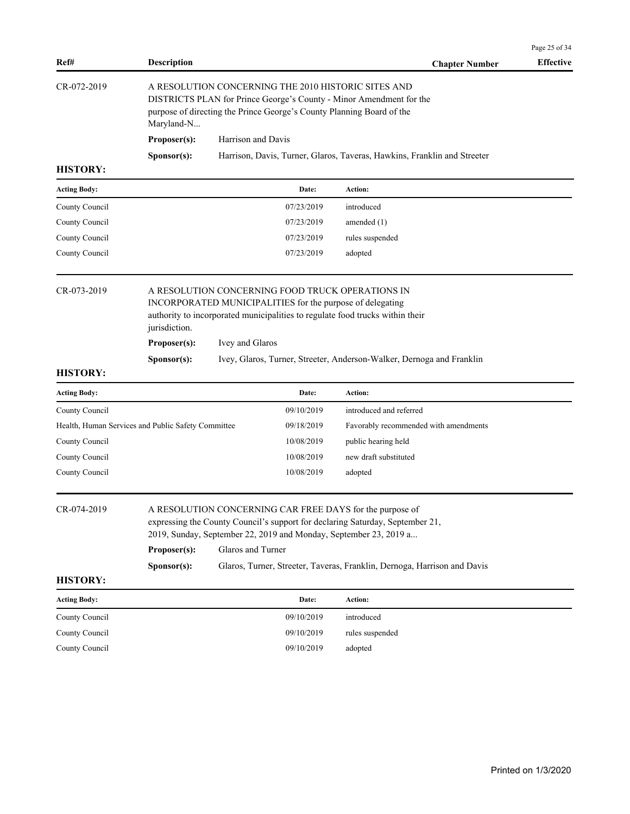| Ref#                                                                                                                                                                                                                                                              | <b>Description</b>                                                                                                                                                                                                                                                                                                                             |                                                                                                                                                                                                     | <b>Chapter Number</b>                                                    | Page 25 of 34<br><b>Effective</b> |  |  |  |  |
|-------------------------------------------------------------------------------------------------------------------------------------------------------------------------------------------------------------------------------------------------------------------|------------------------------------------------------------------------------------------------------------------------------------------------------------------------------------------------------------------------------------------------------------------------------------------------------------------------------------------------|-----------------------------------------------------------------------------------------------------------------------------------------------------------------------------------------------------|--------------------------------------------------------------------------|-----------------------------------|--|--|--|--|
| CR-072-2019                                                                                                                                                                                                                                                       | Maryland-N                                                                                                                                                                                                                                                                                                                                     | A RESOLUTION CONCERNING THE 2010 HISTORIC SITES AND<br>DISTRICTS PLAN for Prince George's County - Minor Amendment for the<br>purpose of directing the Prince George's County Planning Board of the |                                                                          |                                   |  |  |  |  |
|                                                                                                                                                                                                                                                                   | Proposer(s):                                                                                                                                                                                                                                                                                                                                   | Harrison and Davis                                                                                                                                                                                  |                                                                          |                                   |  |  |  |  |
|                                                                                                                                                                                                                                                                   | Sponsor(s):                                                                                                                                                                                                                                                                                                                                    |                                                                                                                                                                                                     | Harrison, Davis, Turner, Glaros, Taveras, Hawkins, Franklin and Streeter |                                   |  |  |  |  |
| <b>HISTORY:</b>                                                                                                                                                                                                                                                   |                                                                                                                                                                                                                                                                                                                                                |                                                                                                                                                                                                     |                                                                          |                                   |  |  |  |  |
| Acting Body:                                                                                                                                                                                                                                                      |                                                                                                                                                                                                                                                                                                                                                | Date:                                                                                                                                                                                               | Action:                                                                  |                                   |  |  |  |  |
| County Council                                                                                                                                                                                                                                                    |                                                                                                                                                                                                                                                                                                                                                | 07/23/2019                                                                                                                                                                                          | introduced                                                               |                                   |  |  |  |  |
| County Council                                                                                                                                                                                                                                                    |                                                                                                                                                                                                                                                                                                                                                | 07/23/2019                                                                                                                                                                                          | amended $(1)$                                                            |                                   |  |  |  |  |
| County Council                                                                                                                                                                                                                                                    |                                                                                                                                                                                                                                                                                                                                                | 07/23/2019                                                                                                                                                                                          | rules suspended                                                          |                                   |  |  |  |  |
| County Council                                                                                                                                                                                                                                                    |                                                                                                                                                                                                                                                                                                                                                | 07/23/2019                                                                                                                                                                                          | adopted                                                                  |                                   |  |  |  |  |
| CR-073-2019<br>A RESOLUTION CONCERNING FOOD TRUCK OPERATIONS IN<br>INCORPORATED MUNICIPALITIES for the purpose of delegating<br>authority to incorporated municipalities to regulate food trucks within their<br>jurisdiction.<br>Proposer(s):<br>Ivey and Glaros |                                                                                                                                                                                                                                                                                                                                                |                                                                                                                                                                                                     |                                                                          |                                   |  |  |  |  |
|                                                                                                                                                                                                                                                                   | Sponsor(s):                                                                                                                                                                                                                                                                                                                                    |                                                                                                                                                                                                     | Ivey, Glaros, Turner, Streeter, Anderson-Walker, Dernoga and Franklin    |                                   |  |  |  |  |
| <b>HISTORY:</b>                                                                                                                                                                                                                                                   |                                                                                                                                                                                                                                                                                                                                                |                                                                                                                                                                                                     |                                                                          |                                   |  |  |  |  |
| <b>Acting Body:</b>                                                                                                                                                                                                                                               |                                                                                                                                                                                                                                                                                                                                                | Date:                                                                                                                                                                                               | Action:                                                                  |                                   |  |  |  |  |
| County Council                                                                                                                                                                                                                                                    |                                                                                                                                                                                                                                                                                                                                                | 09/10/2019                                                                                                                                                                                          | introduced and referred                                                  |                                   |  |  |  |  |
|                                                                                                                                                                                                                                                                   | Health, Human Services and Public Safety Committee                                                                                                                                                                                                                                                                                             | 09/18/2019                                                                                                                                                                                          | Favorably recommended with amendments                                    |                                   |  |  |  |  |
| County Council                                                                                                                                                                                                                                                    |                                                                                                                                                                                                                                                                                                                                                | 10/08/2019                                                                                                                                                                                          | public hearing held                                                      |                                   |  |  |  |  |
| County Council                                                                                                                                                                                                                                                    |                                                                                                                                                                                                                                                                                                                                                | 10/08/2019                                                                                                                                                                                          | new draft substituted                                                    |                                   |  |  |  |  |
| County Council                                                                                                                                                                                                                                                    |                                                                                                                                                                                                                                                                                                                                                | 10/08/2019                                                                                                                                                                                          | adopted                                                                  |                                   |  |  |  |  |
| CR-074-2019                                                                                                                                                                                                                                                       | A RESOLUTION CONCERNING CAR FREE DAYS for the purpose of<br>expressing the County Council's support for declaring Saturday, September 21,<br>2019, Sunday, September 22, 2019 and Monday, September 23, 2019 a<br>Glaros and Turner<br>Proposer(s):<br>Glaros, Turner, Streeter, Taveras, Franklin, Dernoga, Harrison and Davis<br>Sponsor(s): |                                                                                                                                                                                                     |                                                                          |                                   |  |  |  |  |
| <b>HISTORY:</b>                                                                                                                                                                                                                                                   |                                                                                                                                                                                                                                                                                                                                                |                                                                                                                                                                                                     |                                                                          |                                   |  |  |  |  |
| <b>Acting Body:</b>                                                                                                                                                                                                                                               |                                                                                                                                                                                                                                                                                                                                                | Date:                                                                                                                                                                                               | Action:                                                                  |                                   |  |  |  |  |
| County Council                                                                                                                                                                                                                                                    |                                                                                                                                                                                                                                                                                                                                                | 09/10/2019                                                                                                                                                                                          | introduced                                                               |                                   |  |  |  |  |
| County Council                                                                                                                                                                                                                                                    |                                                                                                                                                                                                                                                                                                                                                | 09/10/2019                                                                                                                                                                                          | rules suspended                                                          |                                   |  |  |  |  |
| County Council                                                                                                                                                                                                                                                    |                                                                                                                                                                                                                                                                                                                                                | 09/10/2019                                                                                                                                                                                          | adopted                                                                  |                                   |  |  |  |  |
|                                                                                                                                                                                                                                                                   |                                                                                                                                                                                                                                                                                                                                                |                                                                                                                                                                                                     |                                                                          |                                   |  |  |  |  |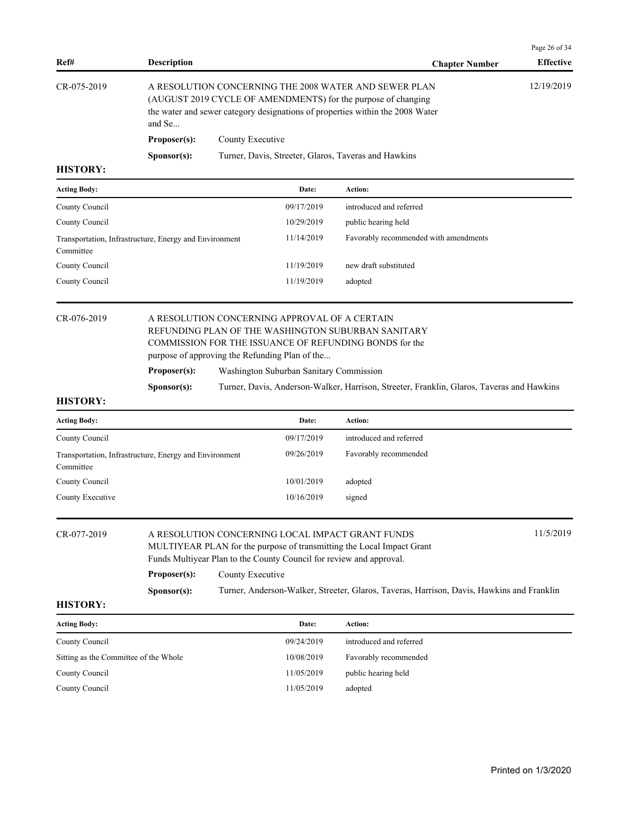| <b>Description</b>   | <b>Chapter Number</b>                                | <b>Effective</b>                                                                                                                                                                                        |
|----------------------|------------------------------------------------------|---------------------------------------------------------------------------------------------------------------------------------------------------------------------------------------------------------|
| and Se               |                                                      | 12/19/2019                                                                                                                                                                                              |
| Proposer(s):         | County Executive                                     |                                                                                                                                                                                                         |
| S <b>p</b> onsor(s): | Turner, Davis, Streeter, Glaros, Taveras and Hawkins |                                                                                                                                                                                                         |
|                      |                                                      | A RESOLUTION CONCERNING THE 2008 WATER AND SEWER PLAN<br>(AUGUST 2019 CYCLE OF AMENDMENTS) for the purpose of changing<br>the water and sewer category designations of properties within the 2008 Water |

| <b>Acting Body:</b>                                                 | Date:      | Action:                               |
|---------------------------------------------------------------------|------------|---------------------------------------|
| County Council                                                      | 09/17/2019 | introduced and referred               |
| County Council                                                      | 10/29/2019 | public hearing held                   |
| Transportation, Infrastructure, Energy and Environment<br>Committee | 11/14/2019 | Favorably recommended with amendments |
| County Council                                                      | 11/19/2019 | new draft substituted                 |
| County Council                                                      | 11/19/2019 | adopted                               |

**HISTORY:**

# CR-076-2019 A RESOLUTION CONCERNING APPROVAL OF A CERTAIN REFUNDING PLAN OF THE WASHINGTON SUBURBAN SANITARY COMMISSION FOR THE ISSUANCE OF REFUNDING BONDS for the purpose of approving the Refunding Plan of the...

**Proposer(s):** Washington Suburban Sanitary Commission

**Sponsor(s):** Turner, Davis, Anderson-Walker, Harrison, Streeter, Franklin, Glaros, Taveras and Hawkins

| <b>Acting Body:</b>                                                 | Date:      | Action:                 |
|---------------------------------------------------------------------|------------|-------------------------|
| County Council                                                      | 09/17/2019 | introduced and referred |
| Transportation, Infrastructure, Energy and Environment<br>Committee | 09/26/2019 | Favorably recommended   |
| County Council                                                      | 10/01/2019 | adopted                 |
| County Executive                                                    | 10/16/2019 | signed                  |

| CR-077-2019 | A RESOLUTION CONCERNING LOCAL IMPACT GRANT FUNDS                      | 11/5/2019 |  |  |  |  |
|-------------|-----------------------------------------------------------------------|-----------|--|--|--|--|
|             | MULTIYEAR PLAN for the purpose of transmitting the Local Impact Grant |           |  |  |  |  |
|             | Funds Multiyear Plan to the County Council for review and approval.   |           |  |  |  |  |
|             | Proposer(s):<br>County Executive                                      |           |  |  |  |  |

**Sponsor(s):** Turner, Anderson-Walker, Streeter, Glaros, Taveras, Harrison, Davis, Hawkins and Franklin

**HISTORY:**

| <b>Acting Body:</b>                   | Date:      | Action:                 |
|---------------------------------------|------------|-------------------------|
| County Council                        | 09/24/2019 | introduced and referred |
| Sitting as the Committee of the Whole | 10/08/2019 | Favorably recommended   |
| County Council                        | 11/05/2019 | public hearing held     |
| County Council                        | 11/05/2019 | adopted                 |

Page 26 of 34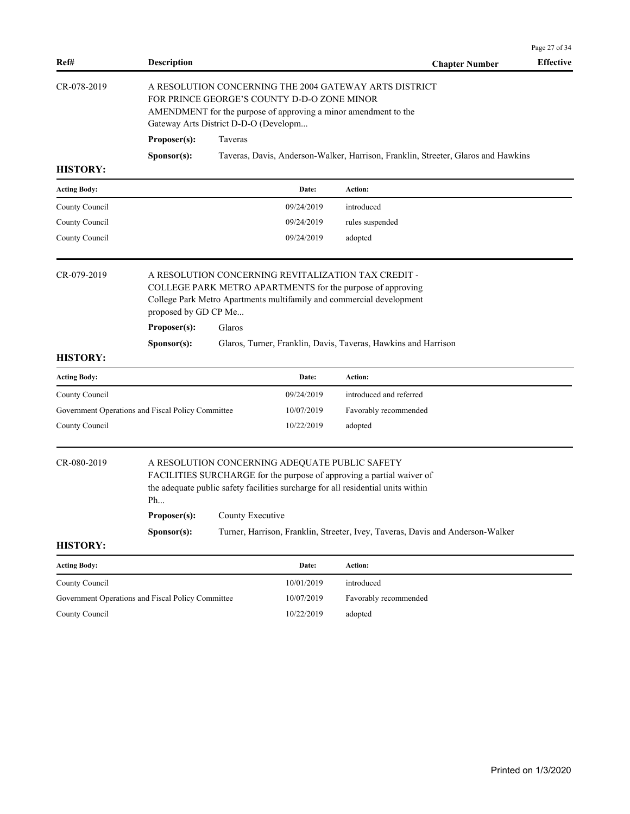| Ref#                                              | <b>Description</b>                                                                                                                                                                                                |                                                                                                                                                                                                                                 |  | <b>Chapter Number</b>                                                             | Page 27 of 34<br><b>Effective</b> |  |  |
|---------------------------------------------------|-------------------------------------------------------------------------------------------------------------------------------------------------------------------------------------------------------------------|---------------------------------------------------------------------------------------------------------------------------------------------------------------------------------------------------------------------------------|--|-----------------------------------------------------------------------------------|-----------------------------------|--|--|
| CR-078-2019                                       | A RESOLUTION CONCERNING THE 2004 GATEWAY ARTS DISTRICT<br>FOR PRINCE GEORGE'S COUNTY D-D-O ZONE MINOR<br>AMENDMENT for the purpose of approving a minor amendment to the<br>Gateway Arts District D-D-O (Developm |                                                                                                                                                                                                                                 |  |                                                                                   |                                   |  |  |
|                                                   | Proposer(s):                                                                                                                                                                                                      | Taveras                                                                                                                                                                                                                         |  |                                                                                   |                                   |  |  |
|                                                   | Sponsor(s):                                                                                                                                                                                                       |                                                                                                                                                                                                                                 |  | Taveras, Davis, Anderson-Walker, Harrison, Franklin, Streeter, Glaros and Hawkins |                                   |  |  |
| <b>HISTORY:</b>                                   |                                                                                                                                                                                                                   |                                                                                                                                                                                                                                 |  |                                                                                   |                                   |  |  |
| <b>Acting Body:</b>                               |                                                                                                                                                                                                                   | Date:                                                                                                                                                                                                                           |  | Action:                                                                           |                                   |  |  |
| County Council                                    |                                                                                                                                                                                                                   | 09/24/2019                                                                                                                                                                                                                      |  | introduced                                                                        |                                   |  |  |
| County Council                                    |                                                                                                                                                                                                                   | 09/24/2019                                                                                                                                                                                                                      |  | rules suspended                                                                   |                                   |  |  |
| County Council                                    |                                                                                                                                                                                                                   | 09/24/2019                                                                                                                                                                                                                      |  | adopted                                                                           |                                   |  |  |
| CR-079-2019                                       | proposed by GD CP Me                                                                                                                                                                                              | A RESOLUTION CONCERNING REVITALIZATION TAX CREDIT -<br>COLLEGE PARK METRO APARTMENTS for the purpose of approving<br>College Park Metro Apartments multifamily and commercial development                                       |  |                                                                                   |                                   |  |  |
|                                                   | Proposer(s):                                                                                                                                                                                                      | Glaros                                                                                                                                                                                                                          |  |                                                                                   |                                   |  |  |
|                                                   | Sponsor(s):                                                                                                                                                                                                       |                                                                                                                                                                                                                                 |  | Glaros, Turner, Franklin, Davis, Taveras, Hawkins and Harrison                    |                                   |  |  |
| <b>HISTORY:</b>                                   |                                                                                                                                                                                                                   |                                                                                                                                                                                                                                 |  |                                                                                   |                                   |  |  |
| <b>Acting Body:</b>                               |                                                                                                                                                                                                                   | Date:                                                                                                                                                                                                                           |  | Action:                                                                           |                                   |  |  |
| County Council                                    |                                                                                                                                                                                                                   | 09/24/2019                                                                                                                                                                                                                      |  | introduced and referred                                                           |                                   |  |  |
| Government Operations and Fiscal Policy Committee |                                                                                                                                                                                                                   | 10/07/2019                                                                                                                                                                                                                      |  | Favorably recommended                                                             |                                   |  |  |
| County Council                                    |                                                                                                                                                                                                                   | 10/22/2019                                                                                                                                                                                                                      |  | adopted                                                                           |                                   |  |  |
| CR-080-2019                                       | Ph<br>Proposer(s):                                                                                                                                                                                                | A RESOLUTION CONCERNING ADEQUATE PUBLIC SAFETY<br>FACILITIES SURCHARGE for the purpose of approving a partial waiver of<br>the adequate public safety facilities surcharge for all residential units within<br>County Executive |  |                                                                                   |                                   |  |  |
|                                                   | Sponsor(s):                                                                                                                                                                                                       |                                                                                                                                                                                                                                 |  | Turner, Harrison, Franklin, Streeter, Ivey, Taveras, Davis and Anderson-Walker    |                                   |  |  |
| <b>HISTORY:</b>                                   |                                                                                                                                                                                                                   |                                                                                                                                                                                                                                 |  |                                                                                   |                                   |  |  |
| <b>Acting Body:</b>                               |                                                                                                                                                                                                                   | Date:                                                                                                                                                                                                                           |  | Action:                                                                           |                                   |  |  |
| County Council                                    |                                                                                                                                                                                                                   | 10/01/2019                                                                                                                                                                                                                      |  | introduced                                                                        |                                   |  |  |
| Government Operations and Fiscal Policy Committee |                                                                                                                                                                                                                   | 10/07/2019                                                                                                                                                                                                                      |  | Favorably recommended                                                             |                                   |  |  |
| County Council                                    |                                                                                                                                                                                                                   | 10/22/2019                                                                                                                                                                                                                      |  | adopted                                                                           |                                   |  |  |
|                                                   |                                                                                                                                                                                                                   |                                                                                                                                                                                                                                 |  |                                                                                   |                                   |  |  |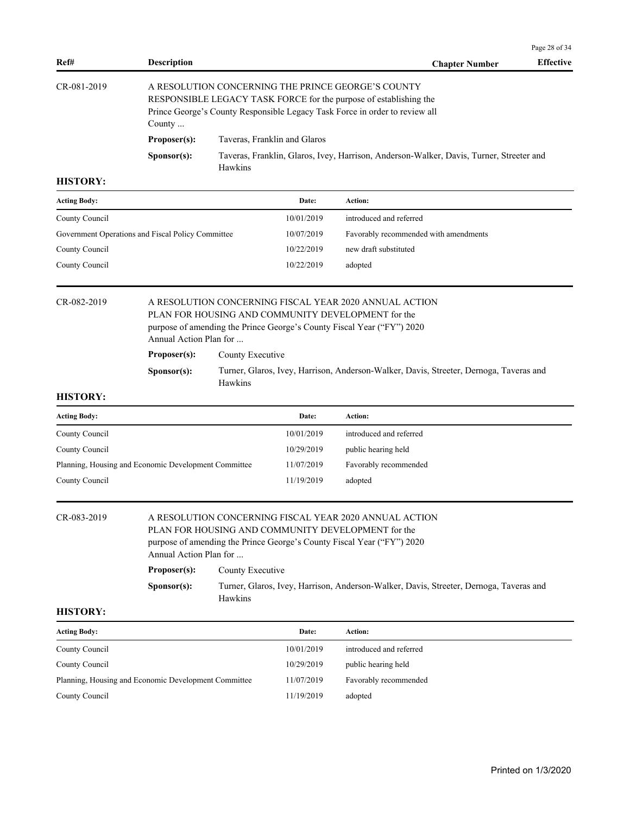| Ref#                                                 | <b>Description</b>                                                                                                                                                                                               |                                                                                                    |            | <b>Chapter Number</b>                                                                                                                                                                                                  | Page 28 of 34<br><b>Effective</b> |  |  |  |  |
|------------------------------------------------------|------------------------------------------------------------------------------------------------------------------------------------------------------------------------------------------------------------------|----------------------------------------------------------------------------------------------------|------------|------------------------------------------------------------------------------------------------------------------------------------------------------------------------------------------------------------------------|-----------------------------------|--|--|--|--|
| CR-081-2019                                          | A RESOLUTION CONCERNING THE PRINCE GEORGE'S COUNTY<br>RESPONSIBLE LEGACY TASK FORCE for the purpose of establishing the<br>Prince George's County Responsible Legacy Task Force in order to review all<br>County |                                                                                                    |            |                                                                                                                                                                                                                        |                                   |  |  |  |  |
|                                                      | Proposer(s):                                                                                                                                                                                                     | Taveras, Franklin and Glaros                                                                       |            |                                                                                                                                                                                                                        |                                   |  |  |  |  |
|                                                      | Sponsor(s):                                                                                                                                                                                                      | Taveras, Franklin, Glaros, Ivey, Harrison, Anderson-Walker, Davis, Turner, Streeter and<br>Hawkins |            |                                                                                                                                                                                                                        |                                   |  |  |  |  |
| <b>HISTORY:</b>                                      |                                                                                                                                                                                                                  |                                                                                                    |            |                                                                                                                                                                                                                        |                                   |  |  |  |  |
| <b>Acting Body:</b>                                  |                                                                                                                                                                                                                  |                                                                                                    | Date:      | Action:                                                                                                                                                                                                                |                                   |  |  |  |  |
| County Council                                       |                                                                                                                                                                                                                  |                                                                                                    | 10/01/2019 | introduced and referred                                                                                                                                                                                                |                                   |  |  |  |  |
| Government Operations and Fiscal Policy Committee    |                                                                                                                                                                                                                  |                                                                                                    | 10/07/2019 | Favorably recommended with amendments                                                                                                                                                                                  |                                   |  |  |  |  |
| County Council                                       |                                                                                                                                                                                                                  |                                                                                                    | 10/22/2019 | new draft substituted                                                                                                                                                                                                  |                                   |  |  |  |  |
| County Council                                       |                                                                                                                                                                                                                  |                                                                                                    | 10/22/2019 | adopted                                                                                                                                                                                                                |                                   |  |  |  |  |
| <b>HISTORY:</b>                                      | Annual Action Plan for<br>Proposer(s):<br>Sponsor(s):                                                                                                                                                            | County Executive<br>Hawkins                                                                        |            | PLAN FOR HOUSING AND COMMUNITY DEVELOPMENT for the<br>purpose of amending the Prince George's County Fiscal Year ("FY") 2020<br>Turner, Glaros, Ivey, Harrison, Anderson-Walker, Davis, Streeter, Dernoga, Taveras and |                                   |  |  |  |  |
| <b>Acting Body:</b>                                  |                                                                                                                                                                                                                  |                                                                                                    | Date:      | Action:                                                                                                                                                                                                                |                                   |  |  |  |  |
| County Council                                       |                                                                                                                                                                                                                  |                                                                                                    | 10/01/2019 | introduced and referred                                                                                                                                                                                                |                                   |  |  |  |  |
| County Council                                       |                                                                                                                                                                                                                  |                                                                                                    | 10/29/2019 | public hearing held                                                                                                                                                                                                    |                                   |  |  |  |  |
| Planning, Housing and Economic Development Committee |                                                                                                                                                                                                                  |                                                                                                    | 11/07/2019 | Favorably recommended                                                                                                                                                                                                  |                                   |  |  |  |  |
| County Council                                       |                                                                                                                                                                                                                  |                                                                                                    | 11/19/2019 | adopted                                                                                                                                                                                                                |                                   |  |  |  |  |
| CR-083-2019                                          | A RESOLUTION CONCERNING FISCAL YEAR 2020 ANNUAL ACTION<br>PLAN FOR HOUSING AND COMMUNITY DEVELOPMENT for the<br>purpose of amending the Prince George's County Fiscal Year ("FY") 2020<br>Annual Action Plan for |                                                                                                    |            |                                                                                                                                                                                                                        |                                   |  |  |  |  |
|                                                      | Proposer(s):                                                                                                                                                                                                     | County Executive                                                                                   |            |                                                                                                                                                                                                                        |                                   |  |  |  |  |
|                                                      | Sponsor(s):                                                                                                                                                                                                      | Turner, Glaros, Ivey, Harrison, Anderson-Walker, Davis, Streeter, Dernoga, Taveras and<br>Hawkins  |            |                                                                                                                                                                                                                        |                                   |  |  |  |  |

| <b>Acting Body:</b>                                  | Date:      | Action:                 |
|------------------------------------------------------|------------|-------------------------|
| County Council                                       | 10/01/2019 | introduced and referred |
| County Council                                       | 10/29/2019 | public hearing held     |
| Planning, Housing and Economic Development Committee | 11/07/2019 | Favorably recommended   |
| County Council                                       | 11/19/2019 | adopted                 |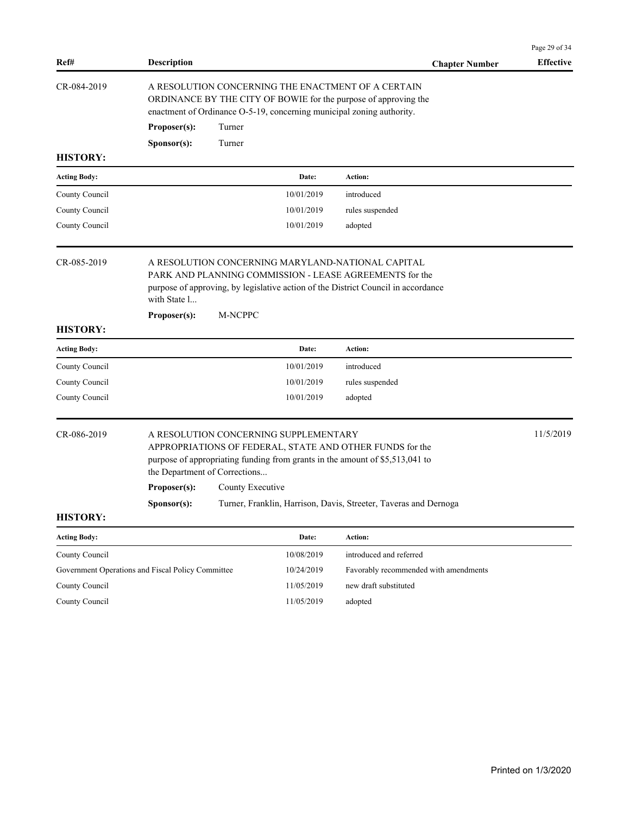| Ref#                | <b>Description</b>                                                                                                                                                                                                |                                                                                                                                                                                                |            | <b>Chapter Number</b>                                                                                                                    | Page 29 of 34<br><b>Effective</b> |  |  |  |
|---------------------|-------------------------------------------------------------------------------------------------------------------------------------------------------------------------------------------------------------------|------------------------------------------------------------------------------------------------------------------------------------------------------------------------------------------------|------------|------------------------------------------------------------------------------------------------------------------------------------------|-----------------------------------|--|--|--|
| CR-084-2019         |                                                                                                                                                                                                                   | A RESOLUTION CONCERNING THE ENACTMENT OF A CERTAIN<br>ORDINANCE BY THE CITY OF BOWIE for the purpose of approving the<br>enactment of Ordinance O-5-19, concerning municipal zoning authority. |            |                                                                                                                                          |                                   |  |  |  |
|                     | Proposer(s):                                                                                                                                                                                                      | Turner                                                                                                                                                                                         |            |                                                                                                                                          |                                   |  |  |  |
|                     | Sponsor(s):                                                                                                                                                                                                       | Turner                                                                                                                                                                                         |            |                                                                                                                                          |                                   |  |  |  |
| <b>HISTORY:</b>     |                                                                                                                                                                                                                   |                                                                                                                                                                                                |            |                                                                                                                                          |                                   |  |  |  |
| Acting Body:        |                                                                                                                                                                                                                   |                                                                                                                                                                                                | Date:      | Action:                                                                                                                                  |                                   |  |  |  |
| County Council      |                                                                                                                                                                                                                   |                                                                                                                                                                                                | 10/01/2019 | introduced                                                                                                                               |                                   |  |  |  |
| County Council      |                                                                                                                                                                                                                   |                                                                                                                                                                                                | 10/01/2019 | rules suspended                                                                                                                          |                                   |  |  |  |
| County Council      |                                                                                                                                                                                                                   |                                                                                                                                                                                                | 10/01/2019 | adopted                                                                                                                                  |                                   |  |  |  |
| CR-085-2019         | A RESOLUTION CONCERNING MARYLAND-NATIONAL CAPITAL<br>PARK AND PLANNING COMMISSION - LEASE AGREEMENTS for the<br>purpose of approving, by legislative action of the District Council in accordance<br>with State 1 |                                                                                                                                                                                                |            |                                                                                                                                          |                                   |  |  |  |
|                     | Proposer(s):                                                                                                                                                                                                      | M-NCPPC                                                                                                                                                                                        |            |                                                                                                                                          |                                   |  |  |  |
| <b>HISTORY:</b>     |                                                                                                                                                                                                                   |                                                                                                                                                                                                |            |                                                                                                                                          |                                   |  |  |  |
| <b>Acting Body:</b> |                                                                                                                                                                                                                   |                                                                                                                                                                                                | Date:      | Action:                                                                                                                                  |                                   |  |  |  |
| County Council      |                                                                                                                                                                                                                   |                                                                                                                                                                                                | 10/01/2019 | introduced                                                                                                                               |                                   |  |  |  |
| County Council      |                                                                                                                                                                                                                   |                                                                                                                                                                                                | 10/01/2019 | rules suspended                                                                                                                          |                                   |  |  |  |
| County Council      |                                                                                                                                                                                                                   |                                                                                                                                                                                                | 10/01/2019 | adopted                                                                                                                                  |                                   |  |  |  |
| CR-086-2019         | the Department of Corrections                                                                                                                                                                                     | A RESOLUTION CONCERNING SUPPLEMENTARY                                                                                                                                                          |            | APPROPRIATIONS OF FEDERAL, STATE AND OTHER FUNDS for the<br>purpose of appropriating funding from grants in the amount of \$5,513,041 to | 11/5/2019                         |  |  |  |
|                     | Proposer(s):                                                                                                                                                                                                      | County Executive                                                                                                                                                                               |            |                                                                                                                                          |                                   |  |  |  |
|                     | Sponsor(s):                                                                                                                                                                                                       |                                                                                                                                                                                                |            | Turner, Franklin, Harrison, Davis, Streeter, Taveras and Dernoga                                                                         |                                   |  |  |  |
| <b>HISTORY:</b>     |                                                                                                                                                                                                                   |                                                                                                                                                                                                |            |                                                                                                                                          |                                   |  |  |  |
| <b>Acting Body:</b> |                                                                                                                                                                                                                   |                                                                                                                                                                                                | Date:      | <b>Action:</b>                                                                                                                           |                                   |  |  |  |
| County Council      |                                                                                                                                                                                                                   |                                                                                                                                                                                                | 10/08/2019 | introduced and referred                                                                                                                  |                                   |  |  |  |
|                     | Government Operations and Fiscal Policy Committee                                                                                                                                                                 |                                                                                                                                                                                                | 10/24/2019 | Favorably recommended with amendments                                                                                                    |                                   |  |  |  |
| County Council      |                                                                                                                                                                                                                   |                                                                                                                                                                                                | 11/05/2019 | new draft substituted                                                                                                                    |                                   |  |  |  |
| County Council      |                                                                                                                                                                                                                   |                                                                                                                                                                                                | 11/05/2019 | adopted                                                                                                                                  |                                   |  |  |  |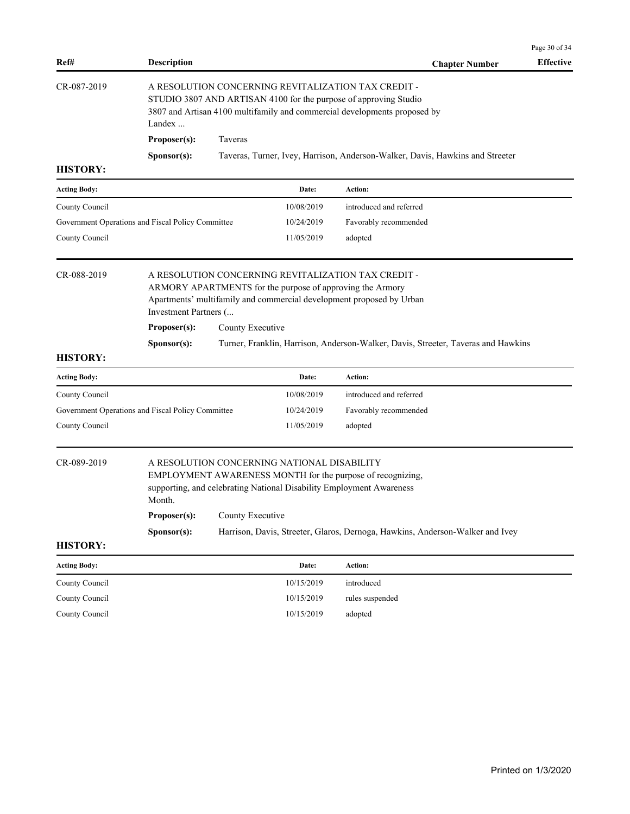| Ref#                                              | <b>Description</b>                                                                                                                                                                                             |                                                                                                                                                                                                                   |            | <b>Chapter Number</b>                                                         | <b>Effective</b> |  |  |
|---------------------------------------------------|----------------------------------------------------------------------------------------------------------------------------------------------------------------------------------------------------------------|-------------------------------------------------------------------------------------------------------------------------------------------------------------------------------------------------------------------|------------|-------------------------------------------------------------------------------|------------------|--|--|
| CR-087-2019                                       | A RESOLUTION CONCERNING REVITALIZATION TAX CREDIT -<br>STUDIO 3807 AND ARTISAN 4100 for the purpose of approving Studio<br>3807 and Artisan 4100 multifamily and commercial developments proposed by<br>Landex |                                                                                                                                                                                                                   |            |                                                                               |                  |  |  |
|                                                   | Proposer(s):                                                                                                                                                                                                   | Taveras                                                                                                                                                                                                           |            |                                                                               |                  |  |  |
|                                                   | S <b>p</b> onsor(s):                                                                                                                                                                                           |                                                                                                                                                                                                                   |            | Taveras, Turner, Ivey, Harrison, Anderson-Walker, Davis, Hawkins and Streeter |                  |  |  |
| <b>HISTORY:</b>                                   |                                                                                                                                                                                                                |                                                                                                                                                                                                                   |            |                                                                               |                  |  |  |
| <b>Acting Body:</b>                               |                                                                                                                                                                                                                |                                                                                                                                                                                                                   | Date:      | Action:                                                                       |                  |  |  |
| County Council                                    |                                                                                                                                                                                                                |                                                                                                                                                                                                                   | 10/08/2019 | introduced and referred                                                       |                  |  |  |
| Government Operations and Fiscal Policy Committee |                                                                                                                                                                                                                |                                                                                                                                                                                                                   | 10/24/2019 | Favorably recommended                                                         |                  |  |  |
| County Council                                    |                                                                                                                                                                                                                |                                                                                                                                                                                                                   | 11/05/2019 | adopted                                                                       |                  |  |  |
| CR-088-2019                                       |                                                                                                                                                                                                                | A RESOLUTION CONCERNING REVITALIZATION TAX CREDIT -<br>ARMORY APARTMENTS for the purpose of approving the Armory<br>Apartments' multifamily and commercial development proposed by Urban<br>Investment Partners ( |            |                                                                               |                  |  |  |
|                                                   | Proposer(s):                                                                                                                                                                                                   | County Executive                                                                                                                                                                                                  |            |                                                                               |                  |  |  |
|                                                   | Sponsor(s):                                                                                                                                                                                                    | Turner, Franklin, Harrison, Anderson-Walker, Davis, Streeter, Taveras and Hawkins                                                                                                                                 |            |                                                                               |                  |  |  |
| <b>HISTORY:</b>                                   |                                                                                                                                                                                                                |                                                                                                                                                                                                                   |            |                                                                               |                  |  |  |
| <b>Acting Body:</b>                               |                                                                                                                                                                                                                |                                                                                                                                                                                                                   | Date:      | Action:                                                                       |                  |  |  |
| County Council                                    |                                                                                                                                                                                                                |                                                                                                                                                                                                                   | 10/08/2019 | introduced and referred                                                       |                  |  |  |
| Government Operations and Fiscal Policy Committee |                                                                                                                                                                                                                |                                                                                                                                                                                                                   | 10/24/2019 | Favorably recommended                                                         |                  |  |  |
| County Council                                    |                                                                                                                                                                                                                |                                                                                                                                                                                                                   | 11/05/2019 | adopted                                                                       |                  |  |  |
| CR-089-2019                                       | Month.                                                                                                                                                                                                         | A RESOLUTION CONCERNING NATIONAL DISABILITY<br>EMPLOYMENT AWARENESS MONTH for the purpose of recognizing,<br>supporting, and celebrating National Disability Employment Awareness                                 |            |                                                                               |                  |  |  |
|                                                   | Proposer(s):<br>County Executive                                                                                                                                                                               |                                                                                                                                                                                                                   |            |                                                                               |                  |  |  |
| <b>HISTORY:</b>                                   | Sponsor(s):                                                                                                                                                                                                    |                                                                                                                                                                                                                   |            | Harrison, Davis, Streeter, Glaros, Dernoga, Hawkins, Anderson-Walker and Ivey |                  |  |  |
| <b>Acting Body:</b>                               |                                                                                                                                                                                                                |                                                                                                                                                                                                                   | Date:      | Action:                                                                       |                  |  |  |
| County Council                                    |                                                                                                                                                                                                                |                                                                                                                                                                                                                   | 10/15/2019 | introduced                                                                    |                  |  |  |
| County Council                                    |                                                                                                                                                                                                                |                                                                                                                                                                                                                   | 10/15/2019 | rules suspended                                                               |                  |  |  |
| County Council                                    |                                                                                                                                                                                                                |                                                                                                                                                                                                                   | 10/15/2019 | adopted                                                                       |                  |  |  |
|                                                   |                                                                                                                                                                                                                |                                                                                                                                                                                                                   |            |                                                                               |                  |  |  |
|                                                   |                                                                                                                                                                                                                |                                                                                                                                                                                                                   |            |                                                                               |                  |  |  |
|                                                   |                                                                                                                                                                                                                |                                                                                                                                                                                                                   |            |                                                                               |                  |  |  |

Page 30 of 34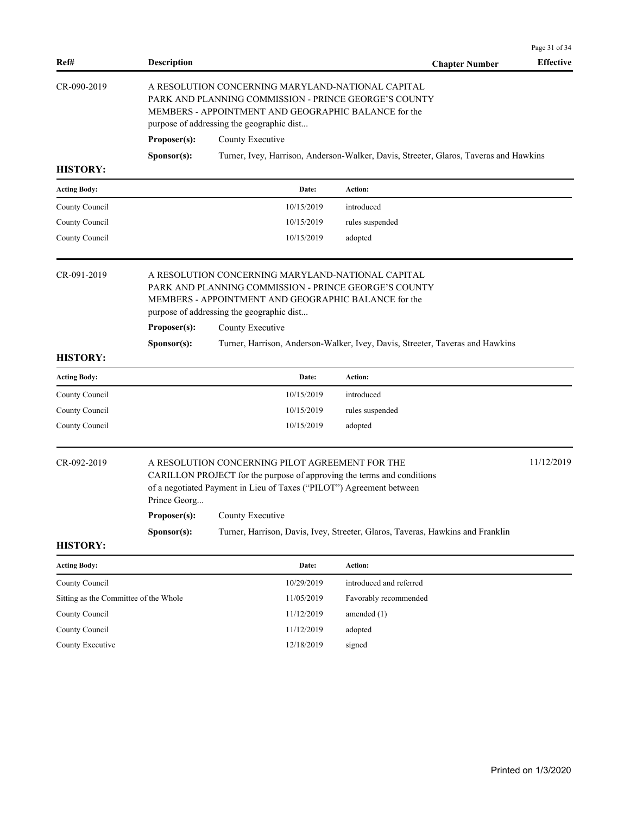|                                       |                                                                                                                                                                                                                                                                                                                                                                      |                  |                                                                                       | Page 31 of 34    |
|---------------------------------------|----------------------------------------------------------------------------------------------------------------------------------------------------------------------------------------------------------------------------------------------------------------------------------------------------------------------------------------------------------------------|------------------|---------------------------------------------------------------------------------------|------------------|
| Ref#                                  | <b>Description</b>                                                                                                                                                                                                                                                                                                                                                   |                  | <b>Chapter Number</b>                                                                 | <b>Effective</b> |
| CR-090-2019                           | A RESOLUTION CONCERNING MARYLAND-NATIONAL CAPITAL<br>PARK AND PLANNING COMMISSION - PRINCE GEORGE'S COUNTY<br>MEMBERS - APPOINTMENT AND GEOGRAPHIC BALANCE for the<br>purpose of addressing the geographic dist                                                                                                                                                      |                  |                                                                                       |                  |
|                                       | Proposer(s):                                                                                                                                                                                                                                                                                                                                                         | County Executive |                                                                                       |                  |
|                                       | Sponsor(s):                                                                                                                                                                                                                                                                                                                                                          |                  | Turner, Ivey, Harrison, Anderson-Walker, Davis, Streeter, Glaros, Taveras and Hawkins |                  |
| <b>HISTORY:</b>                       |                                                                                                                                                                                                                                                                                                                                                                      |                  |                                                                                       |                  |
| <b>Acting Body:</b>                   |                                                                                                                                                                                                                                                                                                                                                                      | Date:            | Action:                                                                               |                  |
| County Council                        |                                                                                                                                                                                                                                                                                                                                                                      | 10/15/2019       | introduced                                                                            |                  |
| County Council                        |                                                                                                                                                                                                                                                                                                                                                                      | 10/15/2019       | rules suspended                                                                       |                  |
| County Council                        |                                                                                                                                                                                                                                                                                                                                                                      | 10/15/2019       | adopted                                                                               |                  |
| CR-091-2019                           | A RESOLUTION CONCERNING MARYLAND-NATIONAL CAPITAL<br>PARK AND PLANNING COMMISSION - PRINCE GEORGE'S COUNTY<br>MEMBERS - APPOINTMENT AND GEOGRAPHIC BALANCE for the<br>purpose of addressing the geographic dist<br>Proposer(s):<br>County Executive<br>Turner, Harrison, Anderson-Walker, Ivey, Davis, Streeter, Taveras and Hawkins<br>Sponsor(s):                  |                  |                                                                                       |                  |
| <b>HISTORY:</b>                       |                                                                                                                                                                                                                                                                                                                                                                      |                  |                                                                                       |                  |
| <b>Acting Body:</b>                   |                                                                                                                                                                                                                                                                                                                                                                      | Date:            | Action:                                                                               |                  |
| County Council                        |                                                                                                                                                                                                                                                                                                                                                                      | 10/15/2019       | introduced                                                                            |                  |
| County Council                        |                                                                                                                                                                                                                                                                                                                                                                      | 10/15/2019       | rules suspended                                                                       |                  |
| County Council                        |                                                                                                                                                                                                                                                                                                                                                                      | 10/15/2019       | adopted                                                                               |                  |
| CR-092-2019                           | 11/12/2019<br>A RESOLUTION CONCERNING PILOT AGREEMENT FOR THE<br>CARILLON PROJECT for the purpose of approving the terms and conditions<br>of a negotiated Payment in Lieu of Taxes ("PILOT") Agreement between<br>Prince Georg<br>Proposer(s):<br>County Executive<br>Turner, Harrison, Davis, Ivey, Streeter, Glaros, Taveras, Hawkins and Franklin<br>Sponsor(s): |                  |                                                                                       |                  |
| <b>HISTORY:</b>                       |                                                                                                                                                                                                                                                                                                                                                                      |                  |                                                                                       |                  |
| <b>Acting Body:</b>                   |                                                                                                                                                                                                                                                                                                                                                                      | Date:            | Action:                                                                               |                  |
| County Council                        |                                                                                                                                                                                                                                                                                                                                                                      | 10/29/2019       | introduced and referred                                                               |                  |
| Sitting as the Committee of the Whole |                                                                                                                                                                                                                                                                                                                                                                      | 11/05/2019       | Favorably recommended                                                                 |                  |
| County Council                        |                                                                                                                                                                                                                                                                                                                                                                      | 11/12/2019       | amended (1)                                                                           |                  |
| County Council                        |                                                                                                                                                                                                                                                                                                                                                                      | 11/12/2019       | adopted                                                                               |                  |
| County Executive                      |                                                                                                                                                                                                                                                                                                                                                                      | 12/18/2019       | signed                                                                                |                  |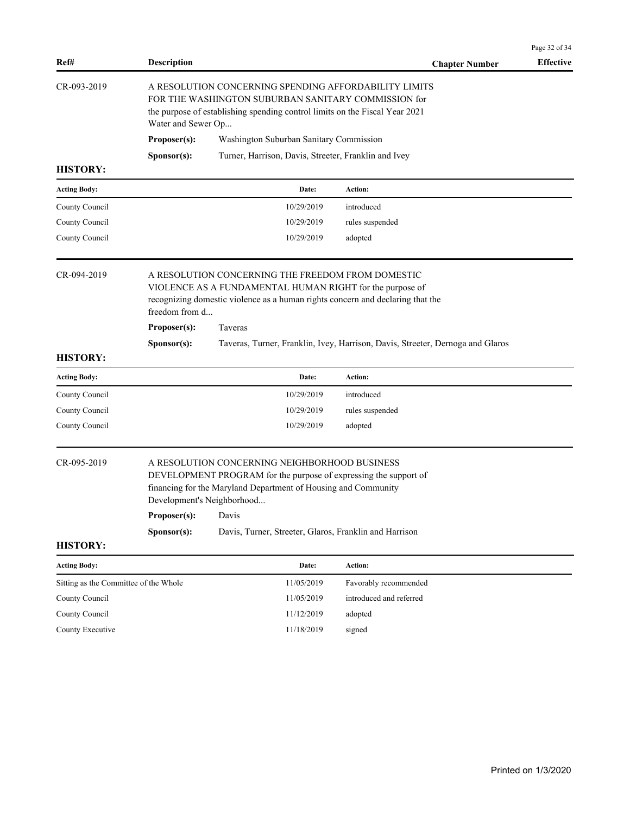|                                       |                                                                                                                                                                                                                                              |                                                                                                                                                                                                                   |                                                                                | Page 32 of 34    |  |
|---------------------------------------|----------------------------------------------------------------------------------------------------------------------------------------------------------------------------------------------------------------------------------------------|-------------------------------------------------------------------------------------------------------------------------------------------------------------------------------------------------------------------|--------------------------------------------------------------------------------|------------------|--|
| Ref#                                  | <b>Description</b>                                                                                                                                                                                                                           |                                                                                                                                                                                                                   | <b>Chapter Number</b>                                                          | <b>Effective</b> |  |
| CR-093-2019                           |                                                                                                                                                                                                                                              | A RESOLUTION CONCERNING SPENDING AFFORDABILITY LIMITS<br>FOR THE WASHINGTON SUBURBAN SANITARY COMMISSION for<br>the purpose of establishing spending control limits on the Fiscal Year 2021<br>Water and Sewer Op |                                                                                |                  |  |
|                                       | Proposer(s):                                                                                                                                                                                                                                 | Washington Suburban Sanitary Commission                                                                                                                                                                           |                                                                                |                  |  |
|                                       | Sponsor(s):                                                                                                                                                                                                                                  | Turner, Harrison, Davis, Streeter, Franklin and Ivey                                                                                                                                                              |                                                                                |                  |  |
| <b>HISTORY:</b>                       |                                                                                                                                                                                                                                              |                                                                                                                                                                                                                   |                                                                                |                  |  |
| <b>Acting Body:</b>                   |                                                                                                                                                                                                                                              | Date:                                                                                                                                                                                                             | Action:                                                                        |                  |  |
| County Council                        |                                                                                                                                                                                                                                              | 10/29/2019                                                                                                                                                                                                        | introduced                                                                     |                  |  |
| County Council                        |                                                                                                                                                                                                                                              | 10/29/2019                                                                                                                                                                                                        | rules suspended                                                                |                  |  |
| County Council                        |                                                                                                                                                                                                                                              | 10/29/2019                                                                                                                                                                                                        | adopted                                                                        |                  |  |
| CR-094-2019                           | A RESOLUTION CONCERNING THE FREEDOM FROM DOMESTIC<br>VIOLENCE AS A FUNDAMENTAL HUMAN RIGHT for the purpose of<br>recognizing domestic violence as a human rights concern and declaring that the<br>freedom from d<br>Proposer(s):<br>Taveras |                                                                                                                                                                                                                   |                                                                                |                  |  |
|                                       | Sponsor(s):                                                                                                                                                                                                                                  |                                                                                                                                                                                                                   | Taveras, Turner, Franklin, Ivey, Harrison, Davis, Streeter, Dernoga and Glaros |                  |  |
| <b>HISTORY:</b>                       |                                                                                                                                                                                                                                              |                                                                                                                                                                                                                   |                                                                                |                  |  |
| <b>Acting Body:</b>                   |                                                                                                                                                                                                                                              | Date:                                                                                                                                                                                                             | Action:                                                                        |                  |  |
| County Council                        |                                                                                                                                                                                                                                              | 10/29/2019                                                                                                                                                                                                        | introduced                                                                     |                  |  |
| County Council                        |                                                                                                                                                                                                                                              | 10/29/2019                                                                                                                                                                                                        | rules suspended                                                                |                  |  |
| County Council                        |                                                                                                                                                                                                                                              | 10/29/2019                                                                                                                                                                                                        | adopted                                                                        |                  |  |
| CR-095-2019                           | A RESOLUTION CONCERNING NEIGHBORHOOD BUSINESS<br>DEVELOPMENT PROGRAM for the purpose of expressing the support of<br>financing for the Maryland Department of Housing and Community<br>Development's Neighborhood                            |                                                                                                                                                                                                                   |                                                                                |                  |  |
|                                       | Proposer(s):                                                                                                                                                                                                                                 | Davis                                                                                                                                                                                                             |                                                                                |                  |  |
|                                       | Sponsor(s):                                                                                                                                                                                                                                  | Davis, Turner, Streeter, Glaros, Franklin and Harrison                                                                                                                                                            |                                                                                |                  |  |
| <b>HISTORY:</b>                       |                                                                                                                                                                                                                                              |                                                                                                                                                                                                                   |                                                                                |                  |  |
| <b>Acting Body:</b>                   |                                                                                                                                                                                                                                              | Date:                                                                                                                                                                                                             | Action:                                                                        |                  |  |
| Sitting as the Committee of the Whole |                                                                                                                                                                                                                                              | 11/05/2019                                                                                                                                                                                                        | Favorably recommended                                                          |                  |  |
| County Council                        |                                                                                                                                                                                                                                              | 11/05/2019                                                                                                                                                                                                        | introduced and referred                                                        |                  |  |
| County Council                        |                                                                                                                                                                                                                                              | 11/12/2019                                                                                                                                                                                                        | adopted                                                                        |                  |  |
| County Executive                      |                                                                                                                                                                                                                                              | 11/18/2019                                                                                                                                                                                                        | signed                                                                         |                  |  |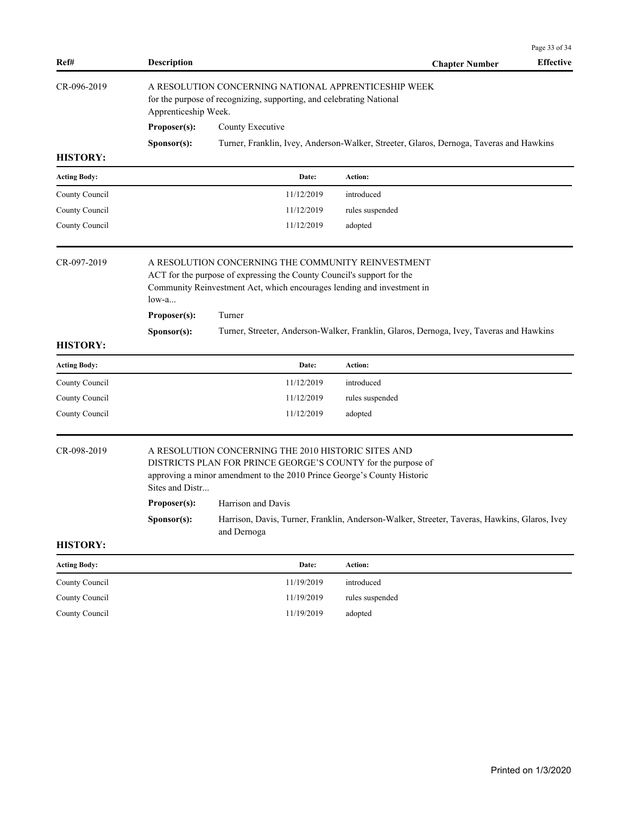| Ref#                | <b>Description</b>                                                                                                                                                                                              |                                                                                                                                                                                                                   | <b>Effective</b><br><b>Chapter Number</b>                                                    |  |  |
|---------------------|-----------------------------------------------------------------------------------------------------------------------------------------------------------------------------------------------------------------|-------------------------------------------------------------------------------------------------------------------------------------------------------------------------------------------------------------------|----------------------------------------------------------------------------------------------|--|--|
| CR-096-2019         | A RESOLUTION CONCERNING NATIONAL APPRENTICESHIP WEEK<br>for the purpose of recognizing, supporting, and celebrating National<br>Apprenticeship Week.                                                            |                                                                                                                                                                                                                   |                                                                                              |  |  |
|                     | Proposer(s):                                                                                                                                                                                                    | County Executive                                                                                                                                                                                                  |                                                                                              |  |  |
|                     | S <b>p</b> onsor(s):                                                                                                                                                                                            |                                                                                                                                                                                                                   | Turner, Franklin, Ivey, Anderson-Walker, Streeter, Glaros, Dernoga, Taveras and Hawkins      |  |  |
| <b>HISTORY:</b>     |                                                                                                                                                                                                                 |                                                                                                                                                                                                                   |                                                                                              |  |  |
| <b>Acting Body:</b> |                                                                                                                                                                                                                 | Date:                                                                                                                                                                                                             | Action:                                                                                      |  |  |
| County Council      |                                                                                                                                                                                                                 | 11/12/2019                                                                                                                                                                                                        | introduced                                                                                   |  |  |
| County Council      |                                                                                                                                                                                                                 | 11/12/2019                                                                                                                                                                                                        | rules suspended                                                                              |  |  |
| County Council      |                                                                                                                                                                                                                 | 11/12/2019                                                                                                                                                                                                        | adopted                                                                                      |  |  |
| CR-097-2019         | A RESOLUTION CONCERNING THE COMMUNITY REINVESTMENT<br>ACT for the purpose of expressing the County Council's support for the<br>Community Reinvestment Act, which encourages lending and investment in<br>low-a |                                                                                                                                                                                                                   |                                                                                              |  |  |
|                     | Proposer(s):                                                                                                                                                                                                    | Turner                                                                                                                                                                                                            |                                                                                              |  |  |
|                     | Sponsor(s):                                                                                                                                                                                                     |                                                                                                                                                                                                                   | Turner, Streeter, Anderson-Walker, Franklin, Glaros, Dernoga, Ivey, Taveras and Hawkins      |  |  |
| <b>HISTORY:</b>     |                                                                                                                                                                                                                 |                                                                                                                                                                                                                   |                                                                                              |  |  |
| <b>Acting Body:</b> |                                                                                                                                                                                                                 | Date:                                                                                                                                                                                                             | Action:                                                                                      |  |  |
| County Council      |                                                                                                                                                                                                                 | 11/12/2019                                                                                                                                                                                                        | introduced                                                                                   |  |  |
| County Council      |                                                                                                                                                                                                                 | 11/12/2019                                                                                                                                                                                                        | rules suspended                                                                              |  |  |
| County Council      |                                                                                                                                                                                                                 | 11/12/2019                                                                                                                                                                                                        | adopted                                                                                      |  |  |
| CR-098-2019         |                                                                                                                                                                                                                 | A RESOLUTION CONCERNING THE 2010 HISTORIC SITES AND<br>DISTRICTS PLAN FOR PRINCE GEORGE'S COUNTY for the purpose of<br>approving a minor amendment to the 2010 Prince George's County Historic<br>Sites and Distr |                                                                                              |  |  |
|                     | Proposer(s):                                                                                                                                                                                                    | Harrison and Davis                                                                                                                                                                                                |                                                                                              |  |  |
|                     | S <b>p</b> onsor(s):                                                                                                                                                                                            | and Dernoga                                                                                                                                                                                                       | Harrison, Davis, Turner, Franklin, Anderson-Walker, Streeter, Taveras, Hawkins, Glaros, Ivey |  |  |
| <b>HISTORY:</b>     |                                                                                                                                                                                                                 |                                                                                                                                                                                                                   |                                                                                              |  |  |
| <b>Acting Body:</b> |                                                                                                                                                                                                                 | Date:                                                                                                                                                                                                             | <b>Action:</b>                                                                               |  |  |
| County Council      |                                                                                                                                                                                                                 | 11/19/2019                                                                                                                                                                                                        | introduced                                                                                   |  |  |

County Council 11/19/2019 rules suspended County Council 11/19/2019 adopted

Page 33 of 34